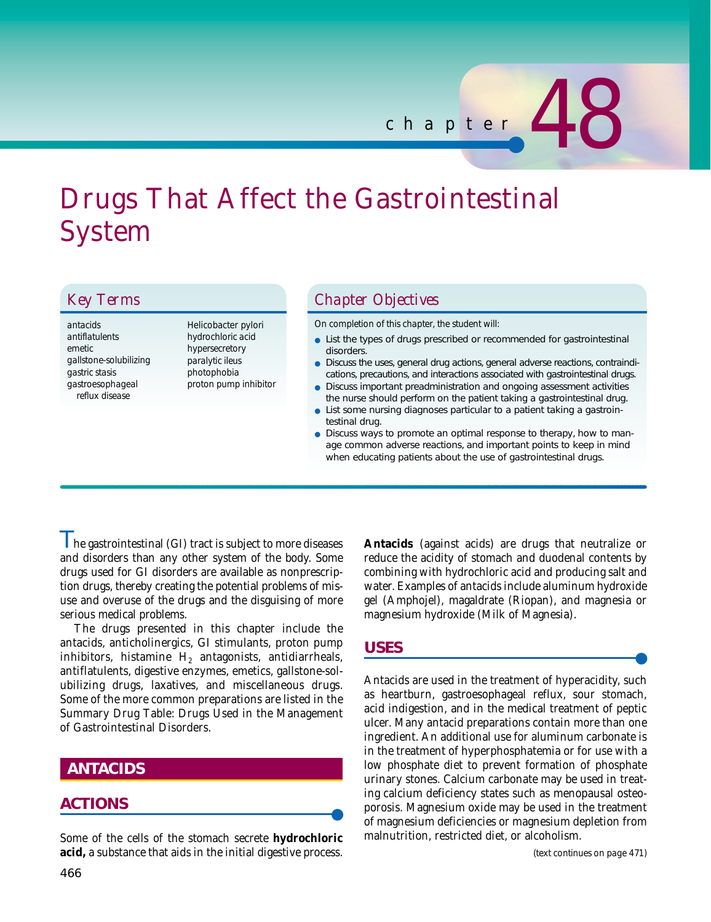# *chapter*

## Drugs That Affect the Gastrointestinal System

*antacids antiflatulents emetic gallstone-solubilizing gastric stasis gastroesophageal reflux disease*

Helicobacter pylori *hydrochloric acid hypersecretory paralytic ileus photophobia proton pump inhibitor*

### *Key Terms Chapter Objectives*

*On completion of this chapter, the student will:*

- List the types of drugs prescribed or recommended for gastrointestinal disorders.
- Discuss the uses, general drug actions, general adverse reactions, contraindications, precautions, and interactions associated with gastrointestinal drugs.
- Discuss important preadministration and ongoing assessment activities the nurse should perform on the patient taking a gastrointestinal drug.
- List some nursing diagnoses particular to a patient taking a gastrointestinal drug.
- Discuss ways to promote an optimal response to therapy, how to manage common adverse reactions, and important points to keep in mind when educating patients about the use of gastrointestinal drugs.

 $\parallel$  he gastrointestinal (GI) tract is subject to more diseases and disorders than any other system of the body. Some drugs used for GI disorders are available as nonprescription drugs, thereby creating the potential problems of misuse and overuse of the drugs and the disguising of more serious medical problems.

The drugs presented in this chapter include the antacids, anticholinergics, GI stimulants, proton pump inhibitors, histamine  $H_2$  antagonists, antidiarrheals, antiflatulents, digestive enzymes, emetics, gallstone-solubilizing drugs, laxatives, and miscellaneous drugs. Some of the more common preparations are listed in the Summary Drug Table: Drugs Used in the Management of Gastrointestinal Disorders.

#### **ANTACIDS**

#### **ACTIONS**

Some of the cells of the stomach secrete **hydrochloric acid**, a substance that aids in the initial digestive process. *(text continues on page 471)* 

**Antacids** (against acids) are drugs that neutralize or reduce the acidity of stomach and duodenal contents by combining with hydrochloric acid and producing salt and water. Examples of antacids include aluminum hydroxide gel (Amphojel), magaldrate (Riopan), and magnesia or magnesium hydroxide (Milk of Magnesia).

## **USES** ●

Antacids are used in the treatment of hyperacidity, such as heartburn, gastroesophageal reflux, sour stomach, acid indigestion, and in the medical treatment of peptic ulcer. Many antacid preparations contain more than one ingredient. An additional use for aluminum carbonate is in the treatment of hyperphosphatemia or for use with a low phosphate diet to prevent formation of phosphate urinary stones. Calcium carbonate may be used in treating calcium deficiency states such as menopausal osteoporosis. Magnesium oxide may be used in the treatment of magnesium deficiencies or magnesium depletion from malnutrition, restricted diet, or alcoholism.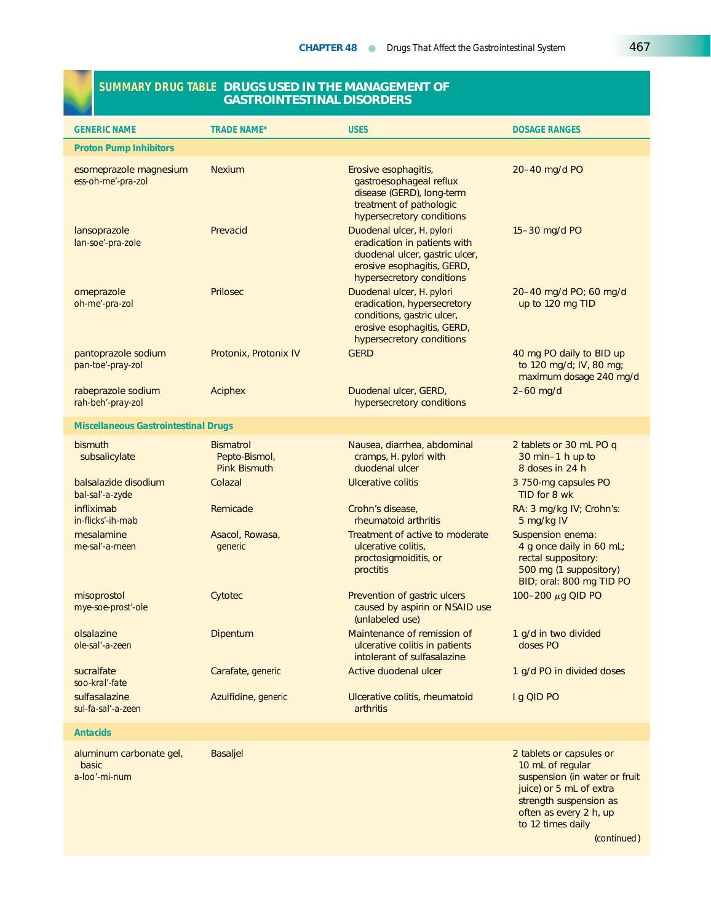#### **SUMMARY DRUG TABLE DRUGS USED IN THE MANAGEMENT OF GASTROINTESTINAL DISORDERS**

| <b>GENERIC NAME</b>                               | <b>TRADE NAME*</b>                                       | <b>USES</b>                                                                                                                                            | <b>DOSAGE RANGES</b>                                                                                                                                                                             |  |
|---------------------------------------------------|----------------------------------------------------------|--------------------------------------------------------------------------------------------------------------------------------------------------------|--------------------------------------------------------------------------------------------------------------------------------------------------------------------------------------------------|--|
| <b>Proton Pump Inhibitors</b>                     |                                                          |                                                                                                                                                        |                                                                                                                                                                                                  |  |
| esomeprazole magnesium<br>ess-oh-me'-pra-zol      | <b>Nexium</b>                                            | Erosive esophagitis,<br>gastroesophageal reflux<br>disease (GERD), long-term<br>treatment of pathologic<br>hypersecretory conditions                   | 20-40 mg/d PO                                                                                                                                                                                    |  |
| lansoprazole<br>lan-soe'-pra-zole                 | Prevacid                                                 | Duodenal ulcer, H. pylori<br>eradication in patients with<br>duodenal ulcer, gastric ulcer,<br>erosive esophagitis, GERD,<br>hypersecretory conditions | 15-30 mg/d PO                                                                                                                                                                                    |  |
| omeprazole<br>oh-me'-pra-zol                      | <b>Prilosec</b>                                          | Duodenal ulcer, H. pylori<br>eradication, hypersecretory<br>conditions, gastric ulcer,<br>erosive esophagitis, GERD,<br>hypersecretory conditions      | 20-40 mg/d PO; 60 mg/d<br>up to 120 mg TID                                                                                                                                                       |  |
| pantoprazole sodium<br>pan-toe'-pray-zol          | Protonix, Protonix IV                                    | <b>GERD</b>                                                                                                                                            | 40 mg PO daily to BID up<br>to 120 mg/d; IV, 80 mg;<br>maximum dosage 240 mg/d                                                                                                                   |  |
| rabeprazole sodium<br>rah-beh'-pray-zol           | <b>Aciphex</b>                                           | Duodenal ulcer, GERD,<br>hypersecretory conditions                                                                                                     | $2-60$ mg/d                                                                                                                                                                                      |  |
| <b>Miscellaneous Gastrointestinal Drugs</b>       |                                                          |                                                                                                                                                        |                                                                                                                                                                                                  |  |
| bismuth<br>subsalicylate                          | <b>Bismatrol</b><br>Pepto-Bismol,<br><b>Pink Bismuth</b> | Nausea, diarrhea, abdominal<br>cramps, H. pylori with<br>duodenal ulcer                                                                                | 2 tablets or 30 mL PO q<br>30 min-1 h up to<br>8 doses in 24 h                                                                                                                                   |  |
| balsalazide disodium<br>bal-sal'-a-zyde           | Colazal                                                  | <b>Ulcerative colitis</b>                                                                                                                              | 3 750-mg capsules PO<br>TID for 8 wk                                                                                                                                                             |  |
| infliximab<br>in-flicks'-ih-mab                   | Remicade                                                 | Crohn's disease,<br>rheumatoid arthritis                                                                                                               | RA: 3 mg/kg IV; Crohn's:<br>5 mg/kg IV                                                                                                                                                           |  |
| mesalamine<br>me-sal'-a-meen                      | Asacol, Rowasa,<br>generic                               | Treatment of active to moderate<br>ulcerative colitis,<br>proctosigmoiditis, or<br>proctitis                                                           | <b>Suspension enema:</b><br>4 g once daily in 60 mL;<br>rectal suppository:<br>500 mg (1 suppository)<br>BID; oral: 800 mg TID PO                                                                |  |
| misoprostol<br>mye-soe-prost'-ole                 | Cytotec                                                  | Prevention of gastric ulcers<br>caused by aspirin or NSAID use<br>(unlabeled use)                                                                      | 100-200 $\mu$ g QID PO                                                                                                                                                                           |  |
| olsalazine<br>ole-sal'-a-zeen                     | <b>Dipentum</b>                                          | Maintenance of remission of<br>ulcerative colitis in patients<br>intolerant of sulfasalazine                                                           | 1 g/d in two divided<br>doses PO                                                                                                                                                                 |  |
| sucralfate<br>soo-kral'-fate                      | Carafate, generic                                        | Active duodenal ulcer                                                                                                                                  | 1 g/d PO in divided doses                                                                                                                                                                        |  |
| sulfasalazine<br>sul-fa-sal'-a-zeen               | Azulfidine, generic                                      | Ulcerative colitis, rheumatoid<br>arthritis                                                                                                            | I g QID PO                                                                                                                                                                                       |  |
| <b>Antacids</b>                                   |                                                          |                                                                                                                                                        |                                                                                                                                                                                                  |  |
| aluminum carbonate gel,<br>basic<br>a-loo'-mi-num | <b>Basaljel</b>                                          |                                                                                                                                                        | 2 tablets or capsules or<br>10 mL of regular<br>suspension (in water or fruit<br>juice) or 5 mL of extra<br>strength suspension as<br>often as every 2 h, up<br>to 12 times daily<br>(continued) |  |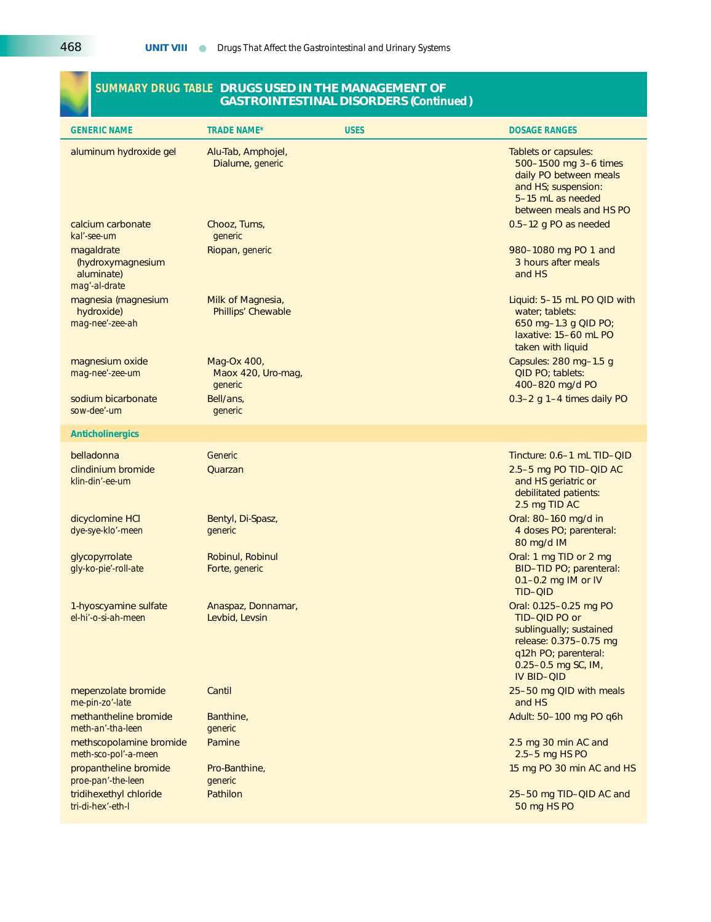#### **SUMMARY DRUG TABLE DRUGS USED IN THE MANAGEMENT OF GASTROINTESTINAL DISORDERS (***Continued***)**

| <b>GENERIC NAME</b>                                            | <b>TRADE NAME*</b>                             | <b>USES</b> | <b>DOSAGE RANGES</b>                                                                                                                                             |
|----------------------------------------------------------------|------------------------------------------------|-------------|------------------------------------------------------------------------------------------------------------------------------------------------------------------|
| aluminum hydroxide gel                                         | Alu-Tab, Amphojel,<br>Dialume, generic         |             | Tablets or capsules:<br>500-1500 mg 3-6 times<br>daily PO between meals<br>and HS; suspension:<br>5-15 mL as needed<br>between meals and HS PO                   |
| calcium carbonate<br>kal'-see-um                               | Chooz, Tums,<br>generic                        |             | 0.5-12 g PO as needed                                                                                                                                            |
| magaldrate<br>(hydroxymagnesium<br>aluminate)<br>mag'-al-drate | Riopan, generic                                |             | 980-1080 mg PO 1 and<br>3 hours after meals<br>and HS                                                                                                            |
| magnesia (magnesium<br>hydroxide)<br>mag-nee'-zee-ah           | Milk of Magnesia,<br><b>Phillips' Chewable</b> |             | Liquid: 5-15 mL PO QID with<br>water; tablets:<br>650 mg-1.3 g QID PO;<br>laxative: 15-60 mL PO<br>taken with liquid                                             |
| magnesium oxide<br>mag-nee'-zee-um                             | Mag-Ox 400,<br>Maox 420, Uro-mag,<br>generic   |             | Capsules: 280 mg-1.5 g<br>QID PO; tablets:<br>400-820 mg/d PO                                                                                                    |
| sodium bicarbonate<br>sow-dee'-um                              | Bell/ans.<br>generic                           |             | 0.3-2 g 1-4 times daily PO                                                                                                                                       |
| <b>Anticholinergics</b>                                        |                                                |             |                                                                                                                                                                  |
| belladonna                                                     | Generic                                        |             | Tincture: 0.6-1 mL TID-QID                                                                                                                                       |
| clindinium bromide<br>klin-din'-ee-um                          | Quarzan                                        |             | 2.5-5 mg PO TID-QID AC<br>and HS geriatric or<br>debilitated patients:<br>2.5 mg TID AC                                                                          |
| dicyclomine HCI<br>dye-sye-klo'-meen                           | Bentyl, Di-Spasz,<br>generic                   |             | Oral: 80-160 mg/d in<br>4 doses PO; parenteral:<br>80 mg/d IM                                                                                                    |
| glycopyrrolate<br>gly-ko-pie'-roll-ate                         | Robinul, Robinul<br>Forte, generic             |             | Oral: 1 mg TID or 2 mg<br>BID-TID PO; parenteral:<br>0.1-0.2 mg IM or IV<br>TID-QID                                                                              |
| 1-hyoscyamine sulfate<br>el-hi'-o-si-ah-meen                   | Anaspaz, Donnamar,<br>Levbid, Levsin           |             | Oral: 0.125-0.25 mg PO<br>TID-QID PO or<br>sublingually; sustained<br>release: 0.375-0.75 mg<br>q12h PO; parenteral:<br>0.25-0.5 mg SC, IM,<br><b>IV BID-QID</b> |
| mepenzolate bromide<br>me-pin-zo'-late                         | Cantil                                         |             | 25-50 mg QID with meals<br>and HS                                                                                                                                |
| methantheline bromide<br>meth-an'-tha-leen                     | Banthine,<br>generic                           |             | Adult: 50-100 mg PO q6h                                                                                                                                          |
| methscopolamine bromide<br>meth-sco-pol'-a-meen                | Pamine                                         |             | 2.5 mg 30 min AC and<br>2.5-5 mg HS PO                                                                                                                           |
| propantheline bromide<br>proe-pan'-the-leen                    | Pro-Banthine,<br>generic                       |             | 15 mg PO 30 min AC and HS                                                                                                                                        |
| tridihexethyl chloride<br>tri-di-hex'-eth-l                    | Pathilon                                       |             | 25-50 mg TID-QID AC and<br>50 mg HS PO                                                                                                                           |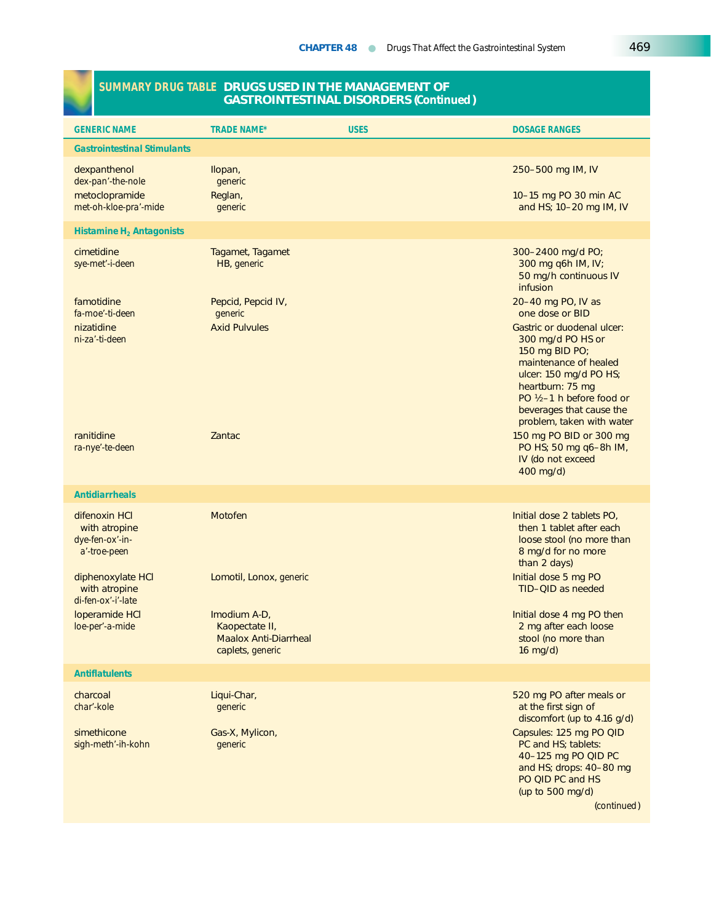#### **SUMMARY DRUG TABLE DRUGS USED IN THE MANAGEMENT OF GASTROINTESTINAL DISORDERS (***Continued***)**

| <b>GENERIC NAME</b>                                                          | <b>TRADE NAME*</b>                                                                 | <b>USES</b> | <b>DOSAGE RANGES</b>                                                                                                                                                                                                                                                      |
|------------------------------------------------------------------------------|------------------------------------------------------------------------------------|-------------|---------------------------------------------------------------------------------------------------------------------------------------------------------------------------------------------------------------------------------------------------------------------------|
| <b>Gastrointestinal Stimulants</b>                                           |                                                                                    |             |                                                                                                                                                                                                                                                                           |
| dexpanthenol<br>dex-pan'-the-nole<br>metoclopramide<br>met-oh-kloe-pra'-mide | llopan,<br>generic<br>Reglan,<br>generic                                           |             | 250-500 mg IM, IV<br>10-15 mg PO 30 min AC<br>and HS; 10-20 mg IM, IV                                                                                                                                                                                                     |
| Histamine H <sub>2</sub> Antagonists                                         |                                                                                    |             |                                                                                                                                                                                                                                                                           |
| cimetidine<br>sye-met'-i-deen                                                | Tagamet, Tagamet<br>HB, generic                                                    |             | 300-2400 mg/d PO;<br>300 mg q6h IM, IV;<br>50 mg/h continuous IV<br>infusion                                                                                                                                                                                              |
| famotidine<br>fa-moe'-ti-deen<br>nizatidine<br>ni-za'-ti-deen                | Pepcid, Pepcid IV,<br>generic<br><b>Axid Pulvules</b>                              |             | 20-40 mg PO, IV as<br>one dose or BID<br>Gastric or duodenal ulcer:<br>300 mg/d PO HS or<br>150 mg BID PO;<br>maintenance of healed<br>ulcer: 150 mg/d PO HS;<br>heartburn: 75 mg<br>PO $1/2-1$ h before food or<br>beverages that cause the<br>problem, taken with water |
| ranitidine<br>ra-nye'-te-deen                                                | Zantac                                                                             |             | 150 mg PO BID or 300 mg<br>PO HS; 50 mg q6-8h IM,<br>IV (do not exceed<br>400 mg/d)                                                                                                                                                                                       |
| <b>Antidiarrheals</b>                                                        |                                                                                    |             |                                                                                                                                                                                                                                                                           |
| difenoxin HCI<br>with atropine<br>dye-fen-ox'-in-<br>a'-troe-peen            | Motofen                                                                            |             | Initial dose 2 tablets PO,<br>then 1 tablet after each<br>loose stool (no more than<br>8 mg/d for no more<br>than 2 days)                                                                                                                                                 |
| diphenoxylate HCI<br>with atropine<br>di-fen-ox'-i'-late                     | Lomotil, Lonox, generic                                                            |             | Initial dose 5 mg PO<br>TID-QID as needed                                                                                                                                                                                                                                 |
| loperamide HCI<br>loe-per'-a-mide                                            | Imodium A-D,<br>Kaopectate II,<br><b>Maalox Anti-Diarrheal</b><br>caplets, generic |             | Initial dose 4 mg PO then<br>2 mg after each loose<br>stool (no more than<br>$16 \text{ mg/d}$                                                                                                                                                                            |
| <b>Antiflatulents</b>                                                        |                                                                                    |             |                                                                                                                                                                                                                                                                           |
| charcoal<br>char'-kole<br>simethicone                                        | Liqui-Char,<br>generic<br>Gas-X, Mylicon,                                          |             | 520 mg PO after meals or<br>at the first sign of<br>discomfort (up to 4.16 g/d)<br>Capsules: 125 mg PO QID                                                                                                                                                                |
| sigh-meth'-ih-kohn                                                           | generic                                                                            |             | PC and HS; tablets:<br>40-125 mg PO QID PC<br>and HS; drops: 40-80 mg<br>PO QID PC and HS<br>(up to 500 mg/d)<br>(continued)                                                                                                                                              |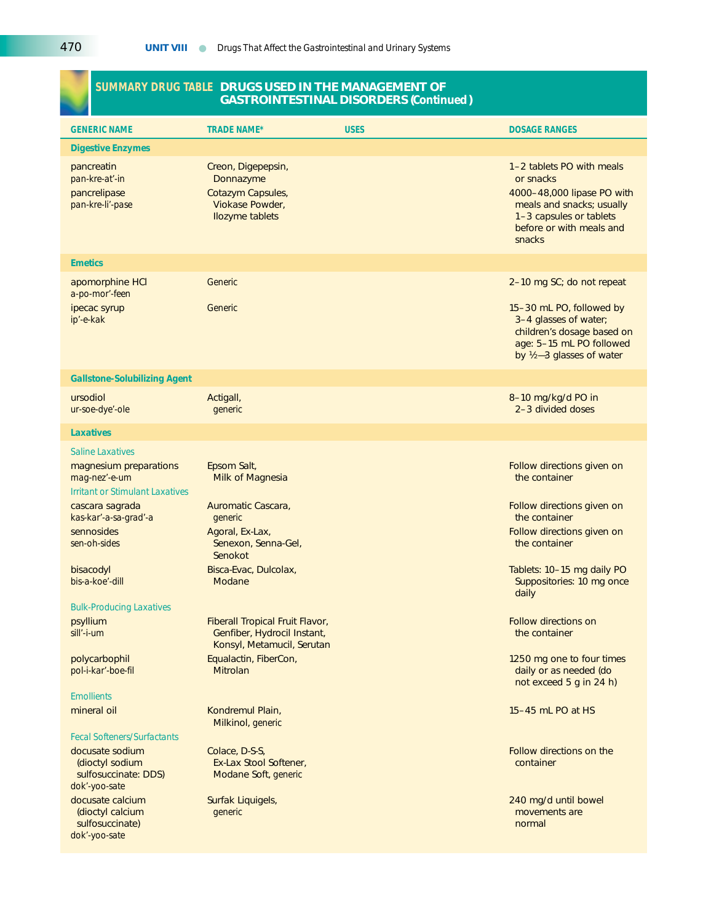#### *Digestive Enzymes* pancreatin Creon, Digepepsin, 1–2 tablets PO with meals<br>
pan-kre-at'-in Connazyme Donnazyme considers a consider the consideration of shacks *pan-kre-at'-in* Donnazyme or snacks pancrelipase Cotazym Capsules, 2000–48,000 lipase PO with a media of the control of the control of the control o<br>
pan-kre-li'-pase Covernance Control of the control of the control of the control of the control of the contr *pan-kre-li'-pase* Viokase Powder, meals and snacks; usually Ilozyme tablets 1–3 capsules or tablets before or with meals and snacks **SUMMARY DRUG TABLE DRUGS USED IN THE MANAGEMENT OF GASTROINTESTINAL DISORDERS (***Continued***) GENERIC NAME TRADE NAME\* USES DOSAGE RANGES**

#### *Emetics* apomorphine HCl *Generic* 2–10 mg SC; do not repeat *a-po-mor'-feen* ipecac syrup *Generic* 15–30 mL PO, followed by *ip'-e-kak* 3–4 glasses of water; children's dosage based on age: 5–15 mL PO followed

#### *Gallstone-Solubilizing Agent*

ursodiol and Actigall, and Actigall, and Actigall, and Actigative Control of the Action of the Actigative Control of the Actigative Control of the Actigative Control of the Actigative Control of the Actigative Control of t *ur-soe-dye'-ole generic* 2–3 divided doses

#### *Laxatives*

*Saline Laxatives*

*mag-nez'-e-um* Milk of Magnesia *Irritant or Stimulant Laxatives*

*kas-kar'-a-sa-grad'-a generic* the container **sen-oh-sides** Senexon, Senna-Gel, the container sense is the container

#### *Bulk-Producing Laxatives*

#### *Emollients*

#### *Fecal Softeners/Surfactants*

*dok'-yoo-sate* docusate calcium Surfak Liquigels, 240 mg/d until bowel<br>
(dioctvl calcium *generic generic* entering and a movements are *movements* are (dioctyl calcium *generic* movements are sulfosuccinate) *dok'-yoo-sate*

Senokot

psyllium Fiberall Tropical Fruit Flavor, The Content of Tropical Fruit Flavor, Follow directions on Follow directions on Sill'-i-um container Content of Genfiber, Hydrocil Instant, **Genfiber, Hydrocil Instant,** Konsyl, Metamucil, Serutan polycarbophil **Equalactin, FiberCon,** 1250 mg one to four times and the four times of the four times and the four<br>
pol-i-kar'-boe-fil Mitrolan Mitrolan Mitrolan and the four times of the four times of the four times of the

Milkinol, *generic*

(dioctyl sodium Ex-Lax Stool Softener,<br>sulfosuccinate: DDS) Modane Soft, generic **Modane Soft, generic** 

by 1⁄2—3 glasses of water

magnesium preparations Epsom Salt, Follow directions given on the container of the container of the container<br>
mag-nez'-e-um Milk of Magnesia

cascara sagrada **Auromatic Cascara, Follow directions given on** Aurora Cascara, Follow directions given on sennosides **Agoral, Ex-Lax, Follow directions given on** an extensive of the extension of the extension of the extension of the extension of the extension of the extension of the extension of the extension of the extension

bisacodyl Bisca-Evac, Dulcolax, Tablets: 10–15 mg daily PO<br>
bis-a-koe'-dill Modane Modane Modane Suppositories: 10 mg once **bis-a-koe'-dill community of the Modane Suppositories: 10 mg once** Suppositories: 10 mg once daily

daily or as needed (do not exceed 5 g in 24 h)

mineral oil 15–45 mL PO at HS Nondremul Plain, 15–15 mL PO at HS Nondremul Plain, 15–45 mL PO at HS

docusate sodium Colace, D-S-S, Colace, Colace, Colace, Coloce, Coloce, Coloce, Coloce, Coloce, Coloce, Coloce,<br>
Coloctyl sodium Coloce, Cx-Lax Stool Softener, Coloce, Coloce, Container Container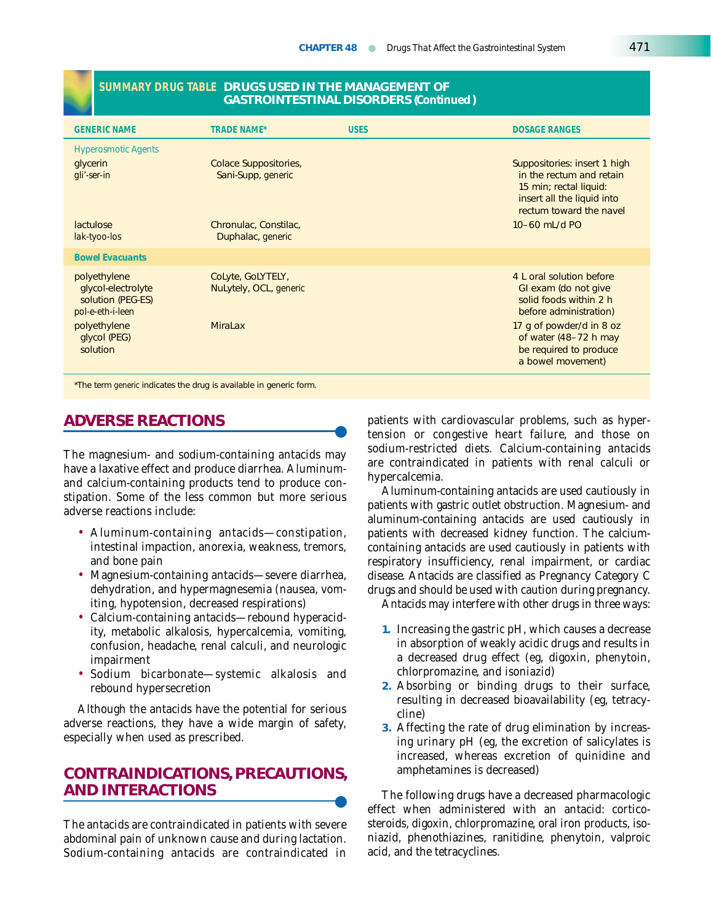#### **SUMMARY DRUG TABLE DRUGS USED IN THE MANAGEMENT OF GASTROINTESTINAL DISORDERS (***Continued***)**

| <b>GENERIC NAME</b>                                                         | <b>TRADE NAME*</b>                          | <b>USES</b> | <b>DOSAGE RANGES</b>                                                                                                                        |
|-----------------------------------------------------------------------------|---------------------------------------------|-------------|---------------------------------------------------------------------------------------------------------------------------------------------|
| <b>Hyperosmotic Agents</b><br>glycerin<br>gli'-ser-in                       | Colace Suppositories,<br>Sani-Supp, generic |             | Suppositories: insert 1 high<br>in the rectum and retain<br>15 min; rectal liquid:<br>insert all the liquid into<br>rectum toward the navel |
| lactulose<br>lak-tyoo-los                                                   | Chronulac, Constilac,<br>Duphalac, generic  |             | $10-60$ mL/d PO                                                                                                                             |
| <b>Bowel Evacuants</b>                                                      |                                             |             |                                                                                                                                             |
| polyethylene<br>glycol-electrolyte<br>solution (PEG-ES)<br>pol-e-eth-i-leen | CoLyte, GoLYTELY,<br>NuLytely, OCL, generic |             | 4 L oral solution before<br>GI exam (do not give<br>solid foods within 2 h<br>before administration)                                        |
| polyethylene<br>qlycol (PEG)<br>solution                                    | <b>MiraLax</b>                              |             | 17 g of powder/d in 8 oz<br>of water (48-72 h may<br>be required to produce<br>a bowel movement)                                            |
|                                                                             |                                             |             |                                                                                                                                             |

\*The term *generic* indicates the drug is available in generic form.

#### **ADVERSE REACTIONS** ●

The magnesium- and sodium-containing antacids may have a laxative effect and produce diarrhea. Aluminumand calcium-containing products tend to produce constipation. Some of the less common but more serious adverse reactions include:

- Aluminum-containing antacids—constipation, intestinal impaction, anorexia, weakness, tremors, and bone pain
- Magnesium-containing antacids—severe diarrhea, dehydration, and hypermagnesemia (nausea, vomiting, hypotension, decreased respirations)
- Calcium-containing antacids—rebound hyperacidity, metabolic alkalosis, hypercalcemia, vomiting, confusion, headache, renal calculi, and neurologic impairment
- Sodium bicarbonate—systemic alkalosis and rebound hypersecretion

Although the antacids have the potential for serious adverse reactions, they have a wide margin of safety, especially when used as prescribed.

#### **CONTRAINDICATIONS, PRECAUTIONS, AND INTERACTIONS** ●

The antacids are contraindicated in patients with severe abdominal pain of unknown cause and during lactation. Sodium-containing antacids are contraindicated in

patients with cardiovascular problems, such as hypertension or congestive heart failure, and those on sodium-restricted diets. Calcium-containing antacids are contraindicated in patients with renal calculi or hypercalcemia.

Aluminum-containing antacids are used cautiously in patients with gastric outlet obstruction. Magnesium- and aluminum-containing antacids are used cautiously in patients with decreased kidney function. The calciumcontaining antacids are used cautiously in patients with respiratory insufficiency, renal impairment, or cardiac disease. Antacids are classified as Pregnancy Category C drugs and should be used with caution during pregnancy.

Antacids may interfere with other drugs in three ways:

- **1.** Increasing the gastric pH, which causes a decrease in absorption of weakly acidic drugs and results in a decreased drug effect (eg, digoxin, phenytoin, chlorpromazine, and isoniazid)
- **2.** Absorbing or binding drugs to their surface, resulting in decreased bioavailability (eg, tetracycline)
- **3.** Affecting the rate of drug elimination by increasing urinary pH (eg, the excretion of salicylates is increased, whereas excretion of quinidine and amphetamines is decreased)

The following drugs have a decreased pharmacologic effect when administered with an antacid: corticosteroids, digoxin, chlorpromazine, oral iron products, isoniazid, phenothiazines, ranitidine, phenytoin, valproic acid, and the tetracyclines.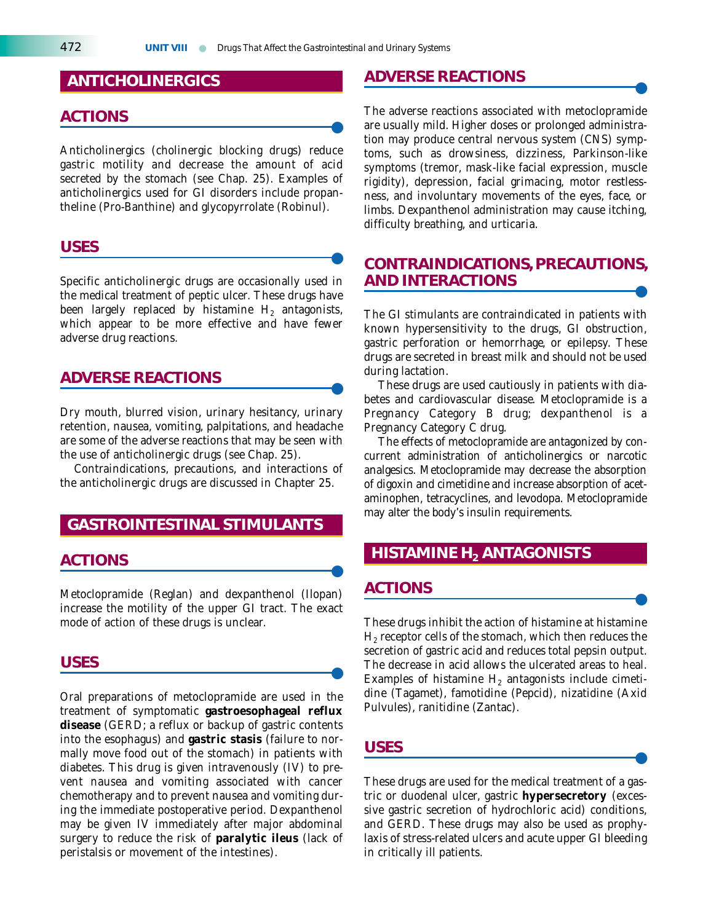#### **ANTICHOLINERGICS**

#### **ACTIONS** ●

Anticholinergics (cholinergic blocking drugs) reduce gastric motility and decrease the amount of acid secreted by the stomach (see Chap. 25). Examples of anticholinergics used for GI disorders include propantheline (Pro-Banthine) and glycopyrrolate (Robinul).

### **USES** ●

Specific anticholinergic drugs are occasionally used in the medical treatment of peptic ulcer. These drugs have been largely replaced by histamine  $H_2$  antagonists, which appear to be more effective and have fewer adverse drug reactions.

#### **ADVERSE REACTIONS**

Dry mouth, blurred vision, urinary hesitancy, urinary retention, nausea, vomiting, palpitations, and headache are some of the adverse reactions that may be seen with the use of anticholinergic drugs (see Chap. 25).

Contraindications, precautions, and interactions of the anticholinergic drugs are discussed in Chapter 25.

#### **GASTROINTESTINAL STIMULANTS**

#### **ACTIONS** ●

Metoclopramide (Reglan) and dexpanthenol (Ilopan) increase the motility of the upper GI tract. The exact mode of action of these drugs is unclear.

### **USES** ●

Oral preparations of metoclopramide are used in the treatment of symptomatic **gastroesophageal reflux disease** (GERD; a reflux or backup of gastric contents into the esophagus) and **gastric stasis** (failure to normally move food out of the stomach) in patients with diabetes. This drug is given intravenously (IV) to prevent nausea and vomiting associated with cancer chemotherapy and to prevent nausea and vomiting during the immediate postoperative period. Dexpanthenol may be given IV immediately after major abdominal surgery to reduce the risk of **paralytic ileus** (lack of peristalsis or movement of the intestines).

#### **ADVERSE REACTIONS** ●

The adverse reactions associated with metoclopramide are usually mild. Higher doses or prolonged administration may produce central nervous system (CNS) symptoms, such as drowsiness, dizziness, Parkinson-like symptoms (tremor, mask-like facial expression, muscle rigidity), depression, facial grimacing, motor restlessness, and involuntary movements of the eyes, face, or limbs. Dexpanthenol administration may cause itching, difficulty breathing, and urticaria.

#### **CONTRAINDICATIONS, PRECAUTIONS, AND INTERACTIONS**

The GI stimulants are contraindicated in patients with known hypersensitivity to the drugs, GI obstruction, gastric perforation or hemorrhage, or epilepsy. These drugs are secreted in breast milk and should not be used during lactation.

These drugs are used cautiously in patients with diabetes and cardiovascular disease. Metoclopramide is a Pregnancy Category B drug; dexpanthenol is a Pregnancy Category C drug.

The effects of metoclopramide are antagonized by concurrent administration of anticholinergics or narcotic analgesics. Metoclopramide may decrease the absorption of digoxin and cimetidine and increase absorption of acetaminophen, tetracyclines, and levodopa. Metoclopramide may alter the body's insulin requirements.

#### **HISTAMINE H2 ANTAGONISTS**

#### **ACTIONS** ●

These drugs inhibit the action of histamine at histamine  $H_2$  receptor cells of the stomach, which then reduces the secretion of gastric acid and reduces total pepsin output. The decrease in acid allows the ulcerated areas to heal. Examples of histamine  $H_2$  antagonists include cimetidine (Tagamet), famotidine (Pepcid), nizatidine (Axid Pulvules), ranitidine (Zantac).

### **USES** ●

These drugs are used for the medical treatment of a gastric or duodenal ulcer, gastric **hypersecretory** (excessive gastric secretion of hydrochloric acid) conditions, and GERD. These drugs may also be used as prophylaxis of stress-related ulcers and acute upper GI bleeding in critically ill patients.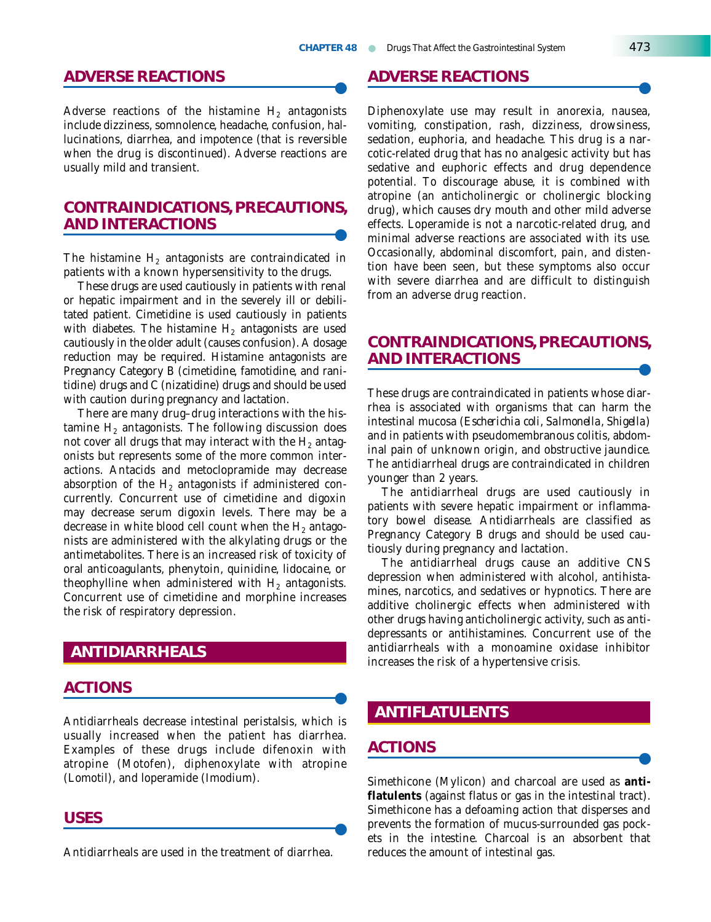#### **ADVERSE REACTIONS** ●

Adverse reactions of the histamine  $H_2$  antagonists include dizziness, somnolence, headache, confusion, hallucinations, diarrhea, and impotence (that is reversible when the drug is discontinued). Adverse reactions are usually mild and transient.

### **CONTRAINDICATIONS, PRECAUTIONS, AND INTERACTIONS** ●

The histamine  $H_2$  antagonists are contraindicated in patients with a known hypersensitivity to the drugs.

These drugs are used cautiously in patients with renal or hepatic impairment and in the severely ill or debilitated patient. Cimetidine is used cautiously in patients with diabetes. The histamine  $H_2$  antagonists are used cautiously in the older adult (causes confusion). A dosage reduction may be required. Histamine antagonists are Pregnancy Category B (cimetidine, famotidine, and ranitidine) drugs and C (nizatidine) drugs and should be used with caution during pregnancy and lactation.

There are many drug–drug interactions with the histamine  $H_2$  antagonists. The following discussion does not cover all drugs that may interact with the  $H_2$  antagonists but represents some of the more common interactions. Antacids and metoclopramide may decrease absorption of the  $H_2$  antagonists if administered concurrently. Concurrent use of cimetidine and digoxin may decrease serum digoxin levels. There may be a decrease in white blood cell count when the  $H_2$  antagonists are administered with the alkylating drugs or the antimetabolites. There is an increased risk of toxicity of oral anticoagulants, phenytoin, quinidine, lidocaine, or theophylline when administered with  $H_2$  antagonists. Concurrent use of cimetidine and morphine increases the risk of respiratory depression.

### **ANTIDIARRHEALS**

#### **ACTIONS** ●

Antidiarrheals decrease intestinal peristalsis, which is usually increased when the patient has diarrhea. Examples of these drugs include difenoxin with atropine (Motofen), diphenoxylate with atropine (Lomotil), and loperamide (Imodium).

### **USES** ●

Antidiarrheals are used in the treatment of diarrhea.

#### **ADVERSE REACTIONS** ●

Diphenoxylate use may result in anorexia, nausea, vomiting, constipation, rash, dizziness, drowsiness, sedation, euphoria, and headache. This drug is a narcotic-related drug that has no analgesic activity but has sedative and euphoric effects and drug dependence potential. To discourage abuse, it is combined with atropine (an anticholinergic or cholinergic blocking drug), which causes dry mouth and other mild adverse effects. Loperamide is not a narcotic-related drug, and minimal adverse reactions are associated with its use. Occasionally, abdominal discomfort, pain, and distention have been seen, but these symptoms also occur with severe diarrhea and are difficult to distinguish from an adverse drug reaction.

#### **CONTRAINDICATIONS, PRECAUTIONS, AND INTERACTIONS** ●

These drugs are contraindicated in patients whose diarrhea is associated with organisms that can harm the intestinal mucosa (*Escherichia coli, Salmonella, Shigella*) and in patients with pseudomembranous colitis, abdominal pain of unknown origin, and obstructive jaundice. The antidiarrheal drugs are contraindicated in children younger than 2 years.

The antidiarrheal drugs are used cautiously in patients with severe hepatic impairment or inflammatory bowel disease. Antidiarrheals are classified as Pregnancy Category B drugs and should be used cautiously during pregnancy and lactation.

The antidiarrheal drugs cause an additive CNS depression when administered with alcohol, antihistamines, narcotics, and sedatives or hypnotics. There are additive cholinergic effects when administered with other drugs having anticholinergic activity, such as antidepressants or antihistamines. Concurrent use of the antidiarrheals with a monoamine oxidase inhibitor increases the risk of a hypertensive crisis.

#### **ANTIFLATULENTS**

#### **ACTIONS** ●

Simethicone (Mylicon) and charcoal are used as **antiflatulents** (against flatus or gas in the intestinal tract). Simethicone has a defoaming action that disperses and prevents the formation of mucus-surrounded gas pockets in the intestine. Charcoal is an absorbent that reduces the amount of intestinal gas.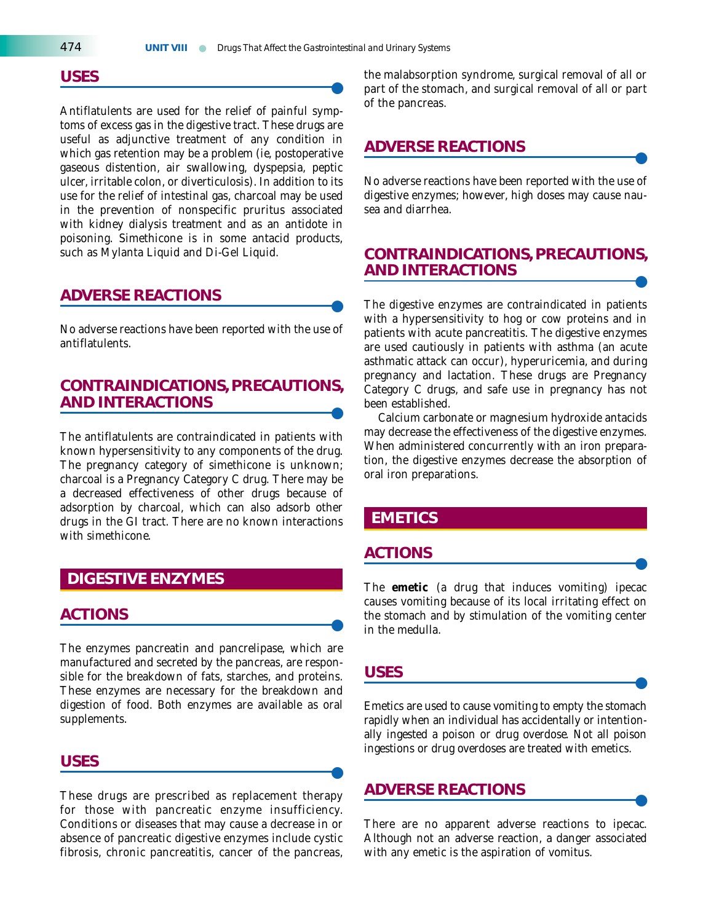### **USES** ●

Antiflatulents are used for the relief of painful symptoms of excess gas in the digestive tract. These drugs are useful as adjunctive treatment of any condition in which gas retention may be a problem (ie, postoperative gaseous distention, air swallowing, dyspepsia, peptic ulcer, irritable colon, or diverticulosis). In addition to its use for the relief of intestinal gas, charcoal may be used in the prevention of nonspecific pruritus associated with kidney dialysis treatment and as an antidote in poisoning. Simethicone is in some antacid products, such as Mylanta Liquid and Di-Gel Liquid.

#### **ADVERSE REACTIONS** ●

No adverse reactions have been reported with the use of antiflatulents.

#### **CONTRAINDICATIONS, PRECAUTIONS, AND INTERACTIONS**

The antiflatulents are contraindicated in patients with known hypersensitivity to any components of the drug. The pregnancy category of simethicone is unknown; charcoal is a Pregnancy Category C drug. There may be a decreased effectiveness of other drugs because of adsorption by charcoal, which can also adsorb other drugs in the GI tract. There are no known interactions with simethicone.

#### **DIGESTIVE ENZYMES**

#### **ACTIONS** ●

The enzymes pancreatin and pancrelipase, which are manufactured and secreted by the pancreas, are responsible for the breakdown of fats, starches, and proteins. These enzymes are necessary for the breakdown and digestion of food. Both enzymes are available as oral supplements.

### **USES** ●

These drugs are prescribed as replacement therapy for those with pancreatic enzyme insufficiency. Conditions or diseases that may cause a decrease in or absence of pancreatic digestive enzymes include cystic fibrosis, chronic pancreatitis, cancer of the pancreas, the malabsorption syndrome, surgical removal of all or part of the stomach, and surgical removal of all or part of the pancreas.

#### **ADVERSE REACTIONS** ●

No adverse reactions have been reported with the use of digestive enzymes; however, high doses may cause nausea and diarrhea.

### **CONTRAINDICATIONS, PRECAUTIONS, AND INTERACTIONS** ●

The digestive enzymes are contraindicated in patients with a hypersensitivity to hog or cow proteins and in patients with acute pancreatitis. The digestive enzymes are used cautiously in patients with asthma (an acute asthmatic attack can occur), hyperuricemia, and during pregnancy and lactation. These drugs are Pregnancy Category C drugs, and safe use in pregnancy has not been established.

Calcium carbonate or magnesium hydroxide antacids may decrease the effectiveness of the digestive enzymes. When administered concurrently with an iron preparation, the digestive enzymes decrease the absorption of oral iron preparations.

#### **EMETICS**

#### **ACTIONS** ●

The **emetic** (a drug that induces vomiting) ipecac causes vomiting because of its local irritating effect on the stomach and by stimulation of the vomiting center in the medulla.

### **USES** ●

Emetics are used to cause vomiting to empty the stomach rapidly when an individual has accidentally or intentionally ingested a poison or drug overdose. Not all poison ingestions or drug overdoses are treated with emetics.

#### **ADVERSE REACTIONS** ●

There are no apparent adverse reactions to ipecac. Although not an adverse reaction, a danger associated with any emetic is the aspiration of vomitus.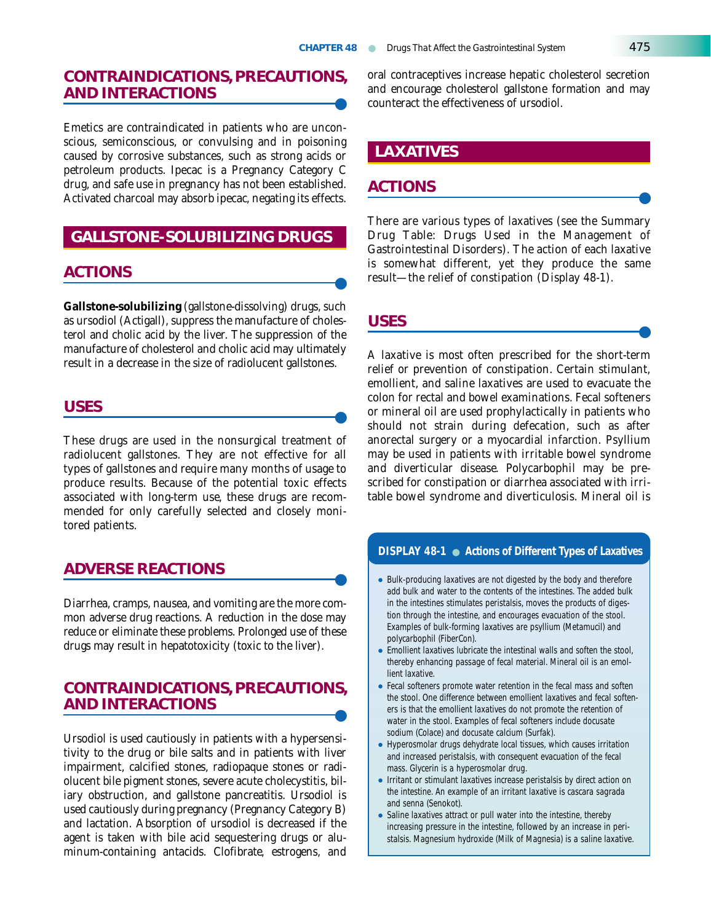#### **CONTRAINDICATIONS, PRECAUTIONS, AND INTERACTIONS** ●

Emetics are contraindicated in patients who are unconscious, semiconscious, or convulsing and in poisoning caused by corrosive substances, such as strong acids or petroleum products. Ipecac is a Pregnancy Category C drug, and safe use in pregnancy has not been established. Activated charcoal may absorb ipecac, negating its effects.

#### **GALLSTONE-SOLUBILIZING DRUGS**

#### **ACTIONS** ●

**Gallstone-solubilizing** (gallstone-dissolving) drugs, such as ursodiol (Actigall), suppress the manufacture of cholesterol and cholic acid by the liver. The suppression of the manufacture of cholesterol and cholic acid may ultimately result in a decrease in the size of radiolucent gallstones.

## **USES** ●

These drugs are used in the nonsurgical treatment of radiolucent gallstones. They are not effective for all types of gallstones and require many months of usage to produce results. Because of the potential toxic effects associated with long-term use, these drugs are recommended for only carefully selected and closely monitored patients.

#### **ADVERSE REACTIONS** ●

Diarrhea, cramps, nausea, and vomiting are the more common adverse drug reactions. A reduction in the dose may reduce or eliminate these problems. Prolonged use of these drugs may result in hepatotoxicity (toxic to the liver).

#### **CONTRAINDICATIONS, PRECAUTIONS, AND INTERACTIONS** ●

Ursodiol is used cautiously in patients with a hypersensitivity to the drug or bile salts and in patients with liver impairment, calcified stones, radiopaque stones or radiolucent bile pigment stones, severe acute cholecystitis, biliary obstruction, and gallstone pancreatitis. Ursodiol is used cautiously during pregnancy (Pregnancy Category B) and lactation. Absorption of ursodiol is decreased if the agent is taken with bile acid sequestering drugs or aluminum-containing antacids. Clofibrate, estrogens, and

oral contraceptives increase hepatic cholesterol secretion and encourage cholesterol gallstone formation and may counteract the effectiveness of ursodiol.

#### **LAXATIVES**

#### **ACTIONS** ●

There are various types of laxatives (see the Summary Drug Table: Drugs Used in the Management of Gastrointestinal Disorders). The action of each laxative is somewhat different, yet they produce the same result—the relief of constipation (Display 48-1).

### —————————————<del>————</del>

A laxative is most often prescribed for the short-term relief or prevention of constipation. Certain stimulant, emollient, and saline laxatives are used to evacuate the colon for rectal and bowel examinations. Fecal softeners or mineral oil are used prophylactically in patients who should not strain during defecation, such as after anorectal surgery or a myocardial infarction. Psyllium may be used in patients with irritable bowel syndrome and diverticular disease. Polycarbophil may be prescribed for constipation or diarrhea associated with irritable bowel syndrome and diverticulosis. Mineral oil is

#### **DISPLAY 48-1** ● **Actions of Different Types of Laxatives**

- Bulk-producing laxatives are not digested by the body and therefore add bulk and water to the contents of the intestines. The added bulk in the intestines stimulates peristalsis, moves the products of digestion through the intestine, and encourages evacuation of the stool. Examples of bulk-forming laxatives are psyllium (Metamucil) and polycarbophil (FiberCon).
- Emollient laxatives lubricate the intestinal walls and soften the stool, thereby enhancing passage of fecal material. Mineral oil is an emollient laxative.
- Fecal softeners promote water retention in the fecal mass and soften the stool. One difference between emollient laxatives and fecal softeners is that the emollient laxatives do not promote the retention of water in the stool. Examples of fecal softeners include docusate sodium (Colace) and docusate calcium (Surfak).
- Hyperosmolar drugs dehydrate local tissues, which causes irritation and increased peristalsis, with consequent evacuation of the fecal mass. Glycerin is a hyperosmolar drug.
- Irritant or stimulant laxatives increase peristalsis by direct action on the intestine. An example of an irritant laxative is cascara sagrada and senna (Senokot).
- Saline laxatives attract or pull water into the intestine, thereby increasing pressure in the intestine, followed by an increase in peristalsis. Magnesium hydroxide (Milk of Magnesia) is a saline laxative.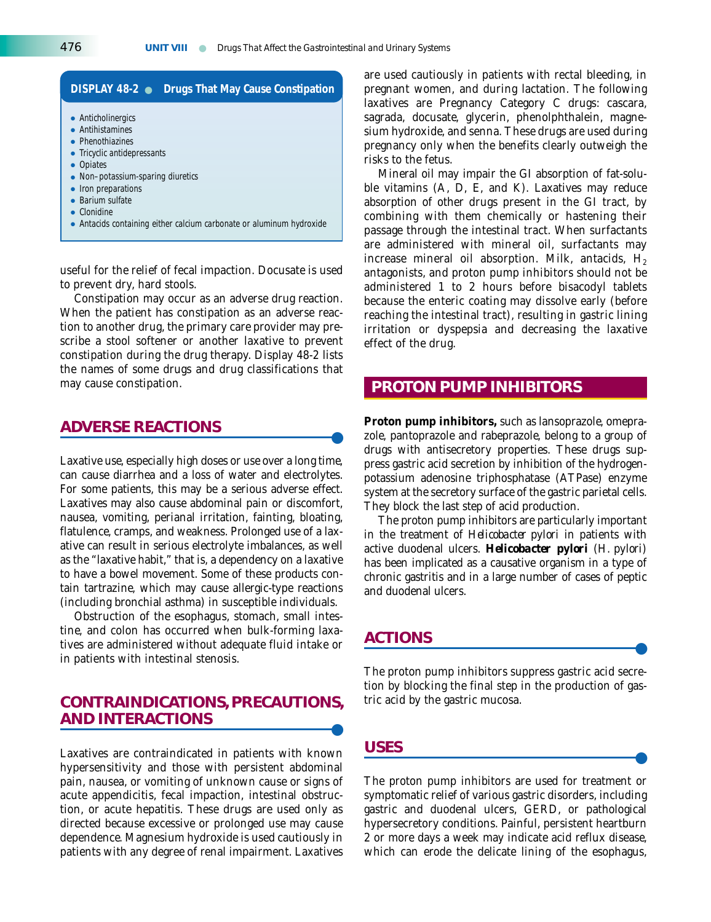#### **DISPLAY 48-2** ● **Drugs That May Cause Constipation**

- Anticholinergics
- Antihistamines
- Phenothiazines
- Tricyclic antidepressants
- Opiates
- Non–potassium-sparing diuretics
- Iron preparations
- Barium sulfate
- Clonidine
- Antacids containing either calcium carbonate or aluminum hydroxide

useful for the relief of fecal impaction. Docusate is used to prevent dry, hard stools.

Constipation may occur as an adverse drug reaction. When the patient has constipation as an adverse reaction to another drug, the primary care provider may prescribe a stool softener or another laxative to prevent constipation during the drug therapy. Display 48-2 lists the names of some drugs and drug classifications that may cause constipation.

#### **ADVERSE REACTIONS**

Laxative use, especially high doses or use over a long time, can cause diarrhea and a loss of water and electrolytes. For some patients, this may be a serious adverse effect. Laxatives may also cause abdominal pain or discomfort, nausea, vomiting, perianal irritation, fainting, bloating, flatulence, cramps, and weakness. Prolonged use of a laxative can result in serious electrolyte imbalances, as well as the "laxative habit," that is, a dependency on a laxative to have a bowel movement. Some of these products contain tartrazine, which may cause allergic-type reactions (including bronchial asthma) in susceptible individuals.

Obstruction of the esophagus, stomach, small intestine, and colon has occurred when bulk-forming laxatives are administered without adequate fluid intake or in patients with intestinal stenosis.

#### **CONTRAINDICATIONS, PRECAUTIONS, AND INTERACTIONS**

Laxatives are contraindicated in patients with known hypersensitivity and those with persistent abdominal pain, nausea, or vomiting of unknown cause or signs of acute appendicitis, fecal impaction, intestinal obstruction, or acute hepatitis. These drugs are used only as directed because excessive or prolonged use may cause dependence. Magnesium hydroxide is used cautiously in patients with any degree of renal impairment. Laxatives

are used cautiously in patients with rectal bleeding, in pregnant women, and during lactation. The following laxatives are Pregnancy Category C drugs: cascara, sagrada, docusate, glycerin, phenolphthalein, magnesium hydroxide, and senna. These drugs are used during pregnancy only when the benefits clearly outweigh the risks to the fetus.

Mineral oil may impair the GI absorption of fat-soluble vitamins (A, D, E, and K). Laxatives may reduce absorption of other drugs present in the GI tract, by combining with them chemically or hastening their passage through the intestinal tract. When surfactants are administered with mineral oil, surfactants may increase mineral oil absorption. Milk, antacids,  $H_2$ antagonists, and proton pump inhibitors should not be administered 1 to 2 hours before bisacodyl tablets because the enteric coating may dissolve early (before reaching the intestinal tract), resulting in gastric lining irritation or dyspepsia and decreasing the laxative effect of the drug.

#### **PROTON PUMP INHIBITORS**

**Proton pump inhibitors,** such as lansoprazole, omeprazole, pantoprazole and rabeprazole, belong to a group of drugs with antisecretory properties. These drugs suppress gastric acid secretion by inhibition of the hydrogenpotassium adenosine triphosphatase (ATPase) enzyme system at the secretory surface of the gastric parietal cells. They block the last step of acid production.

The proton pump inhibitors are particularly important in the treatment of *Helicobacter pylori* in patients with active duodenal ulcers. *Helicobacter pylori* (*H. pylori*) has been implicated as a causative organism in a type of chronic gastritis and in a large number of cases of peptic and duodenal ulcers.

#### **ACTIONS** ●

The proton pump inhibitors suppress gastric acid secretion by blocking the final step in the production of gastric acid by the gastric mucosa.

### **USES** ●

The proton pump inhibitors are used for treatment or symptomatic relief of various gastric disorders, including gastric and duodenal ulcers, GERD, or pathological hypersecretory conditions. Painful, persistent heartburn 2 or more days a week may indicate acid reflux disease, which can erode the delicate lining of the esophagus,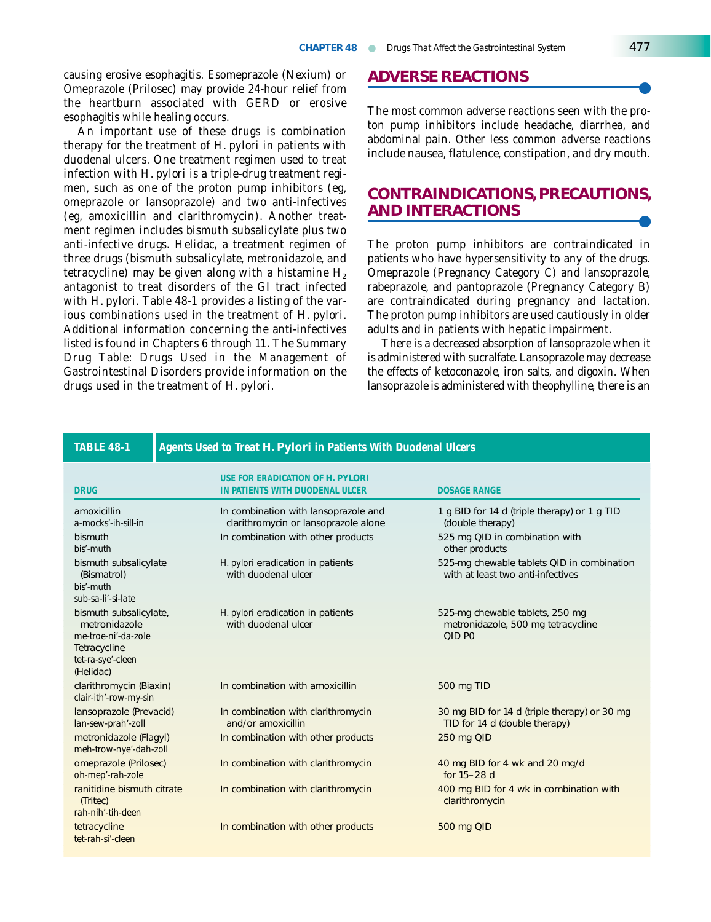causing erosive esophagitis. Esomeprazole (Nexium) or Omeprazole (Prilosec) may provide 24-hour relief from the heartburn associated with GERD or erosive esophagitis while healing occurs.

An important use of these drugs is combination therapy for the treatment of *H. pylori* in patients with duodenal ulcers. One treatment regimen used to treat infection with *H. pylori* is a triple-drug treatment regimen, such as one of the proton pump inhibitors (eg, omeprazole or lansoprazole) and two anti-infectives (eg, amoxicillin and clarithromycin). Another treatment regimen includes bismuth subsalicylate plus two anti-infective drugs. Helidac, a treatment regimen of three drugs (bismuth subsalicylate, metronidazole, and tetracycline) may be given along with a histamine  $H_2$ antagonist to treat disorders of the GI tract infected with *H. pylori*. Table 48-1 provides a listing of the various combinations used in the treatment of *H. pylori*. Additional information concerning the anti-infectives listed is found in Chapters 6 through 11. The Summary Drug Table: Drugs Used in the Management of Gastrointestinal Disorders provide information on the drugs used in the treatment of *H. pylori.*

#### **ADVERSE REACTIONS** ●

The most common adverse reactions seen with the proton pump inhibitors include headache, diarrhea, and abdominal pain. Other less common adverse reactions include nausea, flatulence, constipation, and dry mouth.

#### **CONTRAINDICATIONS, PRECAUTIONS, AND INTERACTIONS** ●

The proton pump inhibitors are contraindicated in patients who have hypersensitivity to any of the drugs. Omeprazole (Pregnancy Category C) and lansoprazole, rabeprazole, and pantoprazole (Pregnancy Category B) are contraindicated during pregnancy and lactation. The proton pump inhibitors are used cautiously in older adults and in patients with hepatic impairment.

There is a decreased absorption of lansoprazole when it is administered with sucralfate. Lansoprazole may decrease the effects of ketoconazole, iron salts, and digoxin. When lansoprazole is administered with theophylline, there is an

| <b>TABLE 48-1</b>                                                                                                | Agents Used to Treat H. Pylori in Patients With Duodenal Ulcers              |                                                                                 |
|------------------------------------------------------------------------------------------------------------------|------------------------------------------------------------------------------|---------------------------------------------------------------------------------|
| <b>DRUG</b>                                                                                                      | USE FOR ERADICATION OF H. PYLORI<br>IN PATIENTS WITH DUODENAL ULCER          | <b>DOSAGE RANGE</b>                                                             |
| amoxicillin<br>a-mocks'-ih-sill-in                                                                               | In combination with lansoprazole and<br>clarithromycin or lansoprazole alone | 1 g BID for 14 d (triple therapy) or 1 g TID<br>(double therapy)                |
| bismuth<br>bis'-muth                                                                                             | In combination with other products                                           | 525 mg QID in combination with<br>other products                                |
| bismuth subsalicylate<br>(Bismatrol)<br>bis'-muth<br>sub-sa-li'-si-late                                          | H. pylori eradication in patients<br>with duodenal ulcer                     | 525-mg chewable tablets QID in combination<br>with at least two anti-infectives |
| bismuth subsalicylate,<br>metronidazole<br>me-troe-ni'-da-zole<br>Tetracycline<br>tet-ra-sye'-cleen<br>(Helidac) | H. pylori eradication in patients<br>with duodenal ulcer                     | 525-mg chewable tablets, 250 mg<br>metronidazole, 500 mg tetracycline<br>QID PO |
| clarithromycin (Biaxin)<br>clair-ith'-row-my-sin                                                                 | In combination with amoxicillin                                              | 500 mg TID                                                                      |
| lansoprazole (Prevacid)<br>lan-sew-prah'-zoll                                                                    | In combination with clarithromycin<br>and/or amoxicillin                     | 30 mg BID for 14 d (triple therapy) or 30 mg<br>TID for 14 d (double therapy)   |
| metronidazole (Flagyl)<br>meh-trow-nye'-dah-zoll                                                                 | In combination with other products                                           | 250 mg QID                                                                      |
| omeprazole (Prilosec)<br>oh-mep'-rah-zole                                                                        | In combination with clarithromycin                                           | 40 mg BID for 4 wk and 20 mg/d<br>for $15-28$ d                                 |
| ranitidine bismuth citrate<br>(Tritec)<br>rah-nih'-tih-deen                                                      | In combination with clarithromycin                                           | 400 mg BID for 4 wk in combination with<br>clarithromycin                       |
| tetracycline<br>tet-rah-si'-cleen                                                                                | In combination with other products                                           | 500 mg QID                                                                      |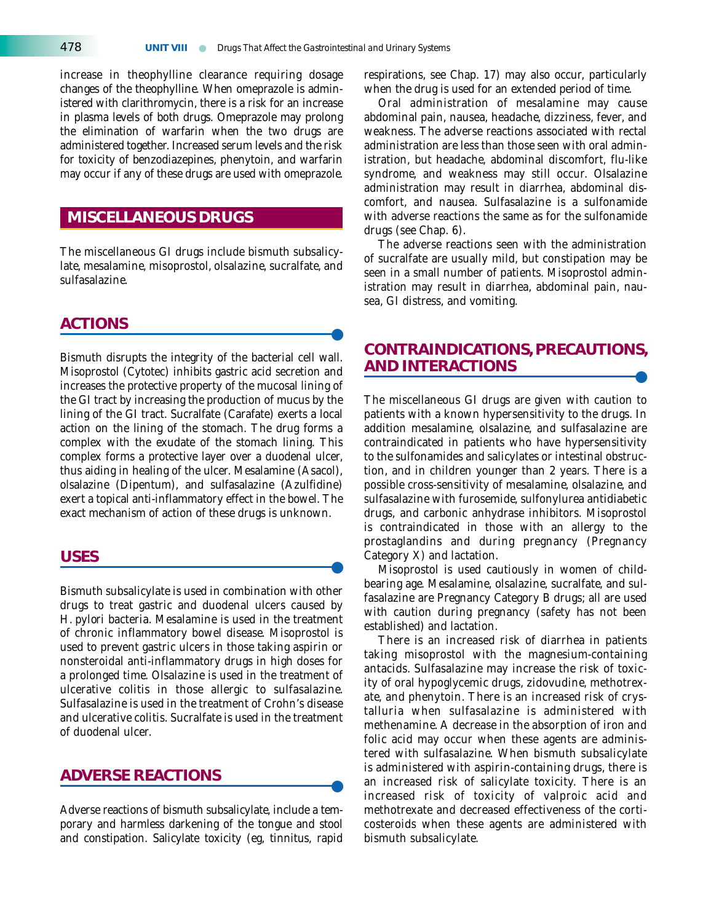increase in theophylline clearance requiring dosage changes of the theophylline. When omeprazole is administered with clarithromycin, there is a risk for an increase in plasma levels of both drugs. Omeprazole may prolong the elimination of warfarin when the two drugs are administered together. Increased serum levels and the risk for toxicity of benzodiazepines, phenytoin, and warfarin may occur if any of these drugs are used with omeprazole.

#### **MISCELLANEOUS DRUGS**

The miscellaneous GI drugs include bismuth subsalicylate, mesalamine, misoprostol, olsalazine, sucralfate, and sulfasalazine.

#### **ACTIONS** ●

Bismuth disrupts the integrity of the bacterial cell wall. Misoprostol (Cytotec) inhibits gastric acid secretion and increases the protective property of the mucosal lining of the GI tract by increasing the production of mucus by the lining of the GI tract. Sucralfate (Carafate) exerts a local action on the lining of the stomach. The drug forms a complex with the exudate of the stomach lining. This complex forms a protective layer over a duodenal ulcer, thus aiding in healing of the ulcer. Mesalamine (Asacol), olsalazine (Dipentum), and sulfasalazine (Azulfidine) exert a topical anti-inflammatory effect in the bowel. The exact mechanism of action of these drugs is unknown.

### **USES** ●

Bismuth subsalicylate is used in combination with other drugs to treat gastric and duodenal ulcers caused by *H. pylori* bacteria. Mesalamine is used in the treatment of chronic inflammatory bowel disease. Misoprostol is used to prevent gastric ulcers in those taking aspirin or nonsteroidal anti-inflammatory drugs in high doses for a prolonged time. Olsalazine is used in the treatment of ulcerative colitis in those allergic to sulfasalazine. Sulfasalazine is used in the treatment of Crohn's disease and ulcerative colitis. Sucralfate is used in the treatment of duodenal ulcer.

#### **ADVERSE REACTIONS**

Adverse reactions of bismuth subsalicylate, include a temporary and harmless darkening of the tongue and stool and constipation. Salicylate toxicity (eg, tinnitus, rapid respirations, see Chap. 17) may also occur, particularly when the drug is used for an extended period of time.

Oral administration of mesalamine may cause abdominal pain, nausea, headache, dizziness, fever, and weakness. The adverse reactions associated with rectal administration are less than those seen with oral administration, but headache, abdominal discomfort, flu-like syndrome, and weakness may still occur. Olsalazine administration may result in diarrhea, abdominal discomfort, and nausea. Sulfasalazine is a sulfonamide with adverse reactions the same as for the sulfonamide drugs (see Chap. 6).

The adverse reactions seen with the administration of sucralfate are usually mild, but constipation may be seen in a small number of patients. Misoprostol administration may result in diarrhea, abdominal pain, nausea, GI distress, and vomiting.

#### **CONTRAINDICATIONS, PRECAUTIONS, AND INTERACTIONS** ●

The miscellaneous GI drugs are given with caution to patients with a known hypersensitivity to the drugs. In addition mesalamine, olsalazine, and sulfasalazine are contraindicated in patients who have hypersensitivity to the sulfonamides and salicylates or intestinal obstruction, and in children younger than 2 years. There is a possible cross-sensitivity of mesalamine, olsalazine, and sulfasalazine with furosemide, sulfonylurea antidiabetic drugs, and carbonic anhydrase inhibitors. Misoprostol is contraindicated in those with an allergy to the prostaglandins and during pregnancy (Pregnancy Category X) and lactation.

Misoprostol is used cautiously in women of childbearing age. Mesalamine, olsalazine, sucralfate, and sulfasalazine are Pregnancy Category B drugs; all are used with caution during pregnancy (safety has not been established) and lactation.

There is an increased risk of diarrhea in patients taking misoprostol with the magnesium-containing antacids. Sulfasalazine may increase the risk of toxicity of oral hypoglycemic drugs, zidovudine, methotrexate, and phenytoin. There is an increased risk of crystalluria when sulfasalazine is administered with methenamine. A decrease in the absorption of iron and folic acid may occur when these agents are administered with sulfasalazine. When bismuth subsalicylate is administered with aspirin-containing drugs, there is an increased risk of salicylate toxicity. There is an increased risk of toxicity of valproic acid and methotrexate and decreased effectiveness of the corticosteroids when these agents are administered with bismuth subsalicylate.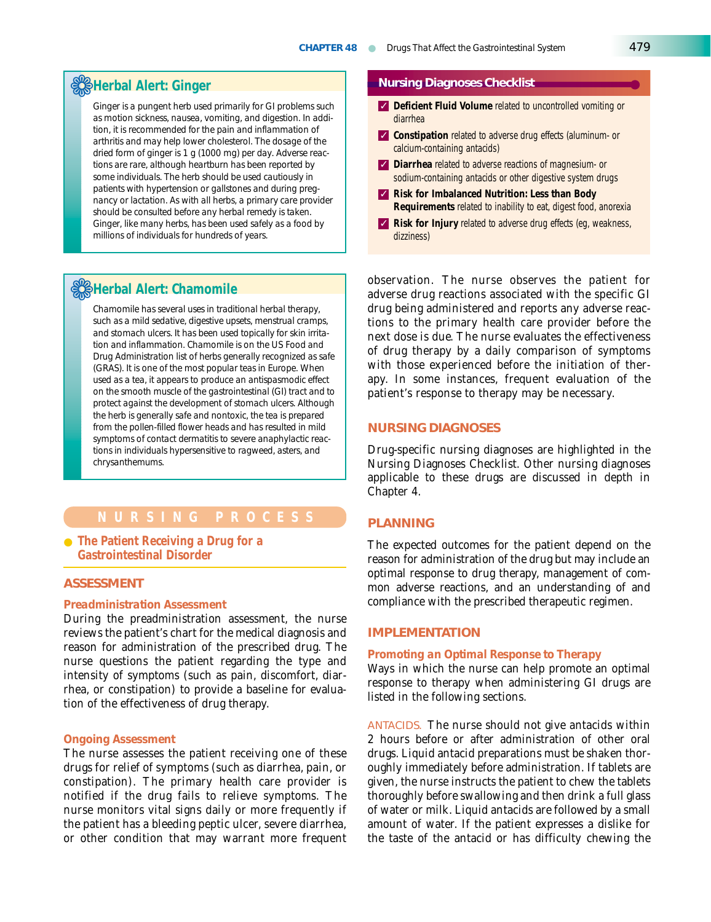### **SCOME Herbal Alert: Ginger**

*Ginger is a pungent herb used primarily for GI problems such as motion sickness, nausea, vomiting, and digestion. In addition, it is recommended for the pain and inflammation of arthritis and may help lower cholesterol. The dosage of the dried form of ginger is 1 g (1000 mg) per day. Adverse reactions are rare, although heartburn has been reported by some individuals. The herb should be used cautiously in patients with hypertension or gallstones and during pregnancy or lactation. As with all herbs, a primary care provider should be consulted before any herbal remedy is taken. Ginger, like many herbs, has been used safely as a food by millions of individuals for hundreds of years.*

#### **SCHER ALERT: Chamomile**

*Chamomile has several uses in traditional herbal therapy, such as a mild sedative, digestive upsets, menstrual cramps, and stomach ulcers. It has been used topically for skin irritation and inflammation. Chamomile is on the US Food and Drug Administration list of herbs generally recognized as safe (GRAS). It is one of the most popular teas in Europe. When used as a tea, it appears to produce an antispasmodic effect on the smooth muscle of the gastrointestinal (GI) tract and to protect against the development of stomach ulcers. Although the herb is generally safe and nontoxic, the tea is prepared from the pollen-filled flower heads and has resulted in mild symptoms of contact dermatitis to severe anaphylactic reactions in individuals hypersensitive to ragweed, asters, and chrysanthemums.*

#### ● **The Patient Receiving a Drug for a Gastrointestinal Disorder**

#### **ASSESSMENT**

#### *Preadministration Assessment*

During the preadministration assessment, the nurse reviews the patient's chart for the medical diagnosis and reason for administration of the prescribed drug. The nurse questions the patient regarding the type and intensity of symptoms (such as pain, discomfort, diarrhea, or constipation) to provide a baseline for evaluation of the effectiveness of drug therapy.

#### *Ongoing Assessment*

The nurse assesses the patient receiving one of these drugs for relief of symptoms (such as diarrhea, pain, or constipation). The primary health care provider is notified if the drug fails to relieve symptoms. The nurse monitors vital signs daily or more frequently if the patient has a bleeding peptic ulcer, severe diarrhea, or other condition that may warrant more frequent

#### **Nursing Diagnoses Checklist**

- ✓ **Deficient Fluid Volume** related to uncontrolled vomiting or diarrhea
- ✓ **Constipation** related to adverse drug effects (aluminum- or calcium-containing antacids)
- ✓ **Diarrhea** related to adverse reactions of magnesium- or sodium-containing antacids or other digestive system drugs
- ✓ **Risk for Imbalanced Nutrition: Less than Body Requirements** related to inability to eat, digest food, anorexia
- ✓ **Risk for Injury** related to adverse drug effects (eg, weakness, dizziness)

observation. The nurse observes the patient for adverse drug reactions associated with the specific GI drug being administered and reports any adverse reactions to the primary health care provider before the next dose is due. The nurse evaluates the effectiveness of drug therapy by a daily comparison of symptoms with those experienced before the initiation of therapy. In some instances, frequent evaluation of the patient's response to therapy may be necessary.

#### **NURSING DIAGNOSES**

Drug-specific nursing diagnoses are highlighted in the Nursing Diagnoses Checklist. Other nursing diagnoses applicable to these drugs are discussed in depth in Chapter 4.

#### **PLANNING**

The expected outcomes for the patient depend on the reason for administration of the drug but may include an optimal response to drug therapy, management of common adverse reactions, and an understanding of and compliance with the prescribed therapeutic regimen.

#### **IMPLEMENTATION**

#### *Promoting an Optimal Response to Therapy*

Ways in which the nurse can help promote an optimal response to therapy when administering GI drugs are listed in the following sections.

ANTACIDS. The nurse should not give antacids within 2 hours before or after administration of other oral drugs. Liquid antacid preparations must be shaken thoroughly immediately before administration. If tablets are given, the nurse instructs the patient to chew the tablets thoroughly before swallowing and then drink a full glass of water or milk. Liquid antacids are followed by a small amount of water. If the patient expresses a dislike for the taste of the antacid or has difficulty chewing the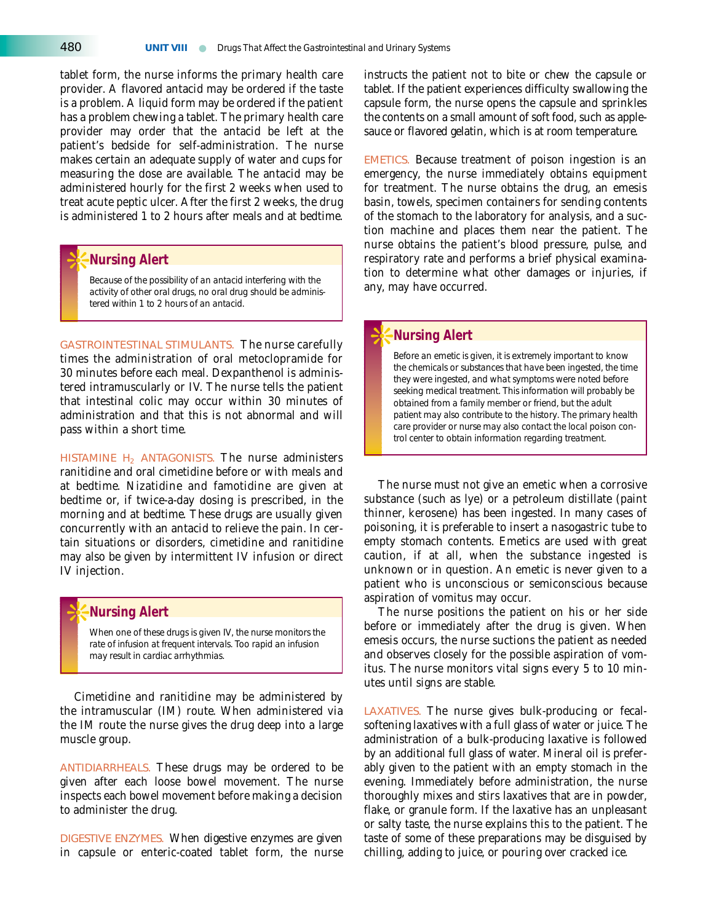tablet form, the nurse informs the primary health care provider. A flavored antacid may be ordered if the taste is a problem. A liquid form may be ordered if the patient has a problem chewing a tablet. The primary health care provider may order that the antacid be left at the patient's bedside for self-administration. The nurse makes certain an adequate supply of water and cups for measuring the dose are available. The antacid may be administered hourly for the first 2 weeks when used to treat acute peptic ulcer. After the first 2 weeks, the drug is administered 1 to 2 hours after meals and at bedtime.

#### ❊**Nursing Alert**

*Because of the possibility of an antacid interfering with the activity of other oral drugs, no oral drug should be administered within 1 to 2 hours of an antacid.* 

GASTROINTESTINAL STIMULANTS. The nurse carefully times the administration of oral metoclopramide for 30 minutes before each meal. Dexpanthenol is administered intramuscularly or IV. The nurse tells the patient that intestinal colic may occur within 30 minutes of administration and that this is not abnormal and will pass within a short time.

HISTAMINE  $H_2$  ANTAGONISTS. The nurse administers ranitidine and oral cimetidine before or with meals and at bedtime. Nizatidine and famotidine are given at bedtime or, if twice-a-day dosing is prescribed, in the morning and at bedtime. These drugs are usually given concurrently with an antacid to relieve the pain. In certain situations or disorders, cimetidine and ranitidine may also be given by intermittent IV infusion or direct IV injection.

#### ❊**Nursing Alert**

*When one of these drugs is given IV, the nurse monitors the rate of infusion at frequent intervals. Too rapid an infusion may result in cardiac arrhythmias.* 

Cimetidine and ranitidine may be administered by the intramuscular (IM) route. When administered via the IM route the nurse gives the drug deep into a large muscle group.

ANTIDIARRHEALS. These drugs may be ordered to be given after each loose bowel movement. The nurse inspects each bowel movement before making a decision to administer the drug.

DIGESTIVE ENZYMES. When digestive enzymes are given in capsule or enteric-coated tablet form, the nurse instructs the patient not to bite or chew the capsule or tablet. If the patient experiences difficulty swallowing the capsule form, the nurse opens the capsule and sprinkles the contents on a small amount of soft food, such as applesauce or flavored gelatin, which is at room temperature.

EMETICS. Because treatment of poison ingestion is an emergency, the nurse immediately obtains equipment for treatment. The nurse obtains the drug, an emesis basin, towels, specimen containers for sending contents of the stomach to the laboratory for analysis, and a suction machine and places them near the patient. The nurse obtains the patient's blood pressure, pulse, and respiratory rate and performs a brief physical examination to determine what other damages or injuries, if any, may have occurred.

#### ❊**Nursing Alert**

*Before an emetic is given, it is extremely important to know the chemicals or substances that have been ingested, the time they were ingested, and what symptoms were noted before seeking medical treatment. This information will probably be obtained from a family member or friend, but the adult patient may also contribute to the history. The primary health care provider or nurse may also contact the local poison control center to obtain information regarding treatment.* 

The nurse must not give an emetic when a corrosive substance (such as lye) or a petroleum distillate (paint thinner, kerosene) has been ingested. In many cases of poisoning, it is preferable to insert a nasogastric tube to empty stomach contents. Emetics are used with great caution, if at all, when the substance ingested is unknown or in question. An emetic is never given to a patient who is unconscious or semiconscious because aspiration of vomitus may occur.

The nurse positions the patient on his or her side before or immediately after the drug is given. When emesis occurs, the nurse suctions the patient as needed and observes closely for the possible aspiration of vomitus. The nurse monitors vital signs every 5 to 10 minutes until signs are stable.

LAXATIVES. The nurse gives bulk-producing or fecalsoftening laxatives with a full glass of water or juice. The administration of a bulk-producing laxative is followed by an additional full glass of water. Mineral oil is preferably given to the patient with an empty stomach in the evening. Immediately before administration, the nurse thoroughly mixes and stirs laxatives that are in powder, flake, or granule form. If the laxative has an unpleasant or salty taste, the nurse explains this to the patient. The taste of some of these preparations may be disguised by chilling, adding to juice, or pouring over cracked ice.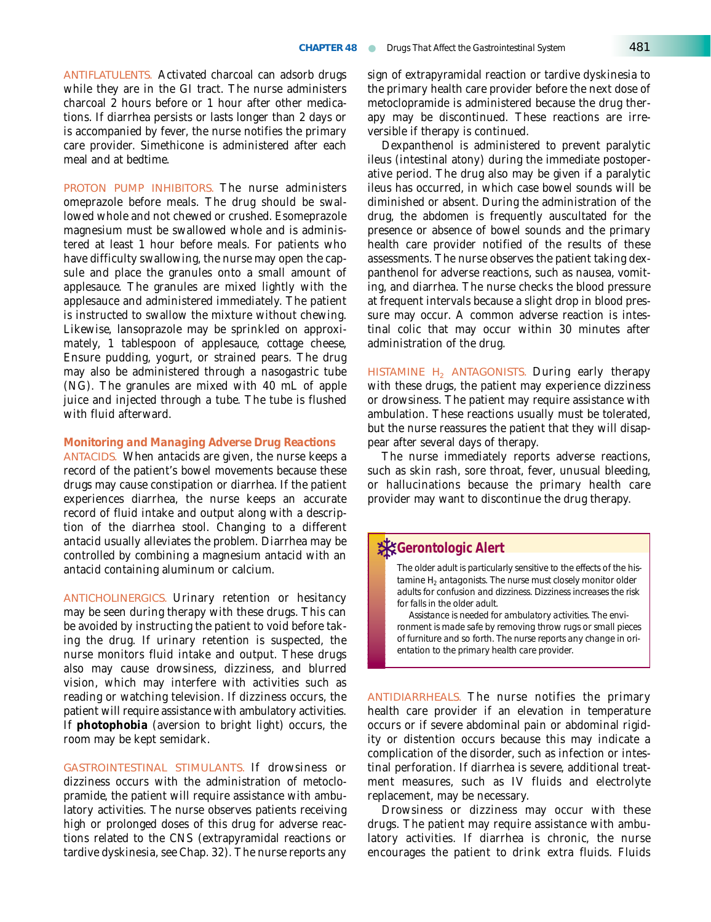ANTIFLATULENTS. Activated charcoal can adsorb drugs while they are in the GI tract. The nurse administers charcoal 2 hours before or 1 hour after other medications. If diarrhea persists or lasts longer than 2 days or is accompanied by fever, the nurse notifies the primary care provider. Simethicone is administered after each meal and at bedtime.

PROTON PUMP INHIBITORS. The nurse administers omeprazole before meals. The drug should be swallowed whole and not chewed or crushed. Esomeprazole magnesium must be swallowed whole and is administered at least 1 hour before meals. For patients who have difficulty swallowing, the nurse may open the capsule and place the granules onto a small amount of applesauce. The granules are mixed lightly with the applesauce and administered immediately. The patient is instructed to swallow the mixture without chewing. Likewise, lansoprazole may be sprinkled on approximately, 1 tablespoon of applesauce, cottage cheese, Ensure pudding, yogurt, or strained pears. The drug may also be administered through a nasogastric tube (NG). The granules are mixed with 40 mL of apple juice and injected through a tube. The tube is flushed with fluid afterward.

#### *Monitoring and Managing Adverse Drug Reactions*

ANTACIDS. When antacids are given, the nurse keeps a record of the patient's bowel movements because these drugs may cause constipation or diarrhea. If the patient experiences diarrhea, the nurse keeps an accurate record of fluid intake and output along with a description of the diarrhea stool. Changing to a different antacid usually alleviates the problem. Diarrhea may be controlled by combining a magnesium antacid with an antacid containing aluminum or calcium.

ANTICHOLINERGICS. Urinary retention or hesitancy may be seen during therapy with these drugs. This can be avoided by instructing the patient to void before taking the drug. If urinary retention is suspected, the nurse monitors fluid intake and output. These drugs also may cause drowsiness, dizziness, and blurred vision, which may interfere with activities such as reading or watching television. If dizziness occurs, the patient will require assistance with ambulatory activities. If **photophobia** (aversion to bright light) occurs, the room may be kept semidark.

GASTROINTESTINAL STIMULANTS. If drowsiness or dizziness occurs with the administration of metoclopramide, the patient will require assistance with ambulatory activities. The nurse observes patients receiving high or prolonged doses of this drug for adverse reactions related to the CNS (extrapyramidal reactions or tardive dyskinesia, see Chap. 32). The nurse reports any sign of extrapyramidal reaction or tardive dyskinesia to the primary health care provider before the next dose of metoclopramide is administered because the drug therapy may be discontinued. These reactions are irreversible if therapy is continued.

Dexpanthenol is administered to prevent paralytic ileus (intestinal atony) during the immediate postoperative period. The drug also may be given if a paralytic ileus has occurred, in which case bowel sounds will be diminished or absent. During the administration of the drug, the abdomen is frequently auscultated for the presence or absence of bowel sounds and the primary health care provider notified of the results of these assessments. The nurse observes the patient taking dexpanthenol for adverse reactions, such as nausea, vomiting, and diarrhea. The nurse checks the blood pressure at frequent intervals because a slight drop in blood pressure may occur. A common adverse reaction is intestinal colic that may occur within 30 minutes after administration of the drug.

HISTAMINE  $H_2$  ANTAGONISTS. During early therapy with these drugs, the patient may experience dizziness or drowsiness. The patient may require assistance with ambulation. These reactions usually must be tolerated, but the nurse reassures the patient that they will disappear after several days of therapy.

The nurse immediately reports adverse reactions, such as skin rash, sore throat, fever, unusual bleeding, or hallucinations because the primary health care provider may want to discontinue the drug therapy.

#### ❄**Gerontologic Alert**

*The older adult is particularly sensitive to the effects of the histamine H2 antagonists. The nurse must closely monitor older adults for confusion and dizziness. Dizziness increases the risk for falls in the older adult.* 

*Assistance is needed for ambulatory activities. The environment is made safe by removing throw rugs or small pieces of furniture and so forth. The nurse reports any change in orientation to the primary health care provider.* 

ANTIDIARRHEALS. The nurse notifies the primary health care provider if an elevation in temperature occurs or if severe abdominal pain or abdominal rigidity or distention occurs because this may indicate a complication of the disorder, such as infection or intestinal perforation. If diarrhea is severe, additional treatment measures, such as IV fluids and electrolyte replacement, may be necessary.

Drowsiness or dizziness may occur with these drugs. The patient may require assistance with ambulatory activities. If diarrhea is chronic, the nurse encourages the patient to drink extra fluids. Fluids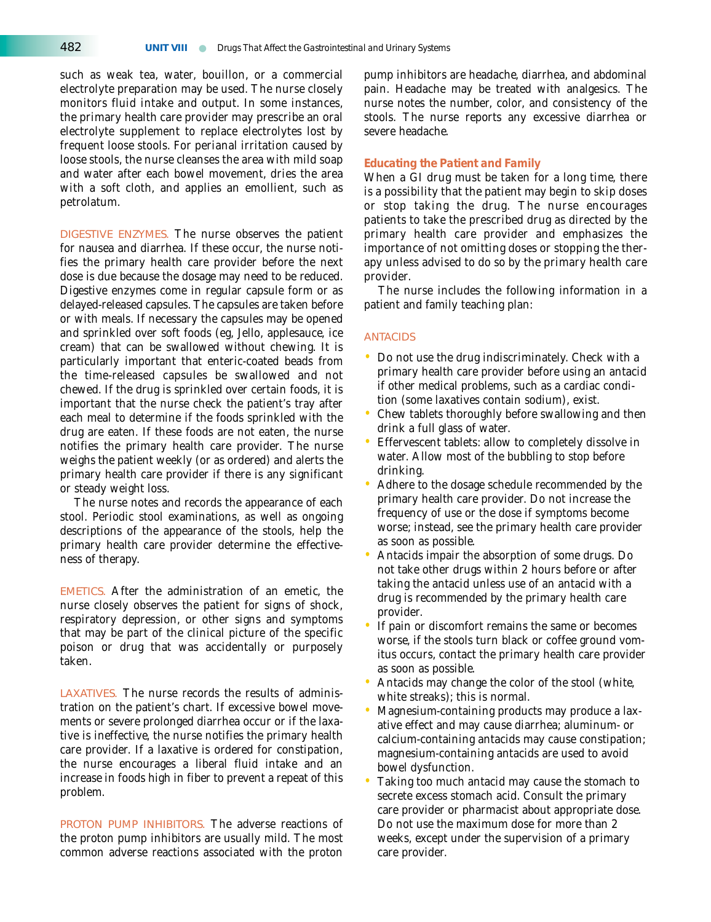such as weak tea, water, bouillon, or a commercial electrolyte preparation may be used. The nurse closely monitors fluid intake and output. In some instances, the primary health care provider may prescribe an oral electrolyte supplement to replace electrolytes lost by frequent loose stools. For perianal irritation caused by loose stools, the nurse cleanses the area with mild soap and water after each bowel movement, dries the area with a soft cloth, and applies an emollient, such as petrolatum.

DIGESTIVE ENZYMES. The nurse observes the patient for nausea and diarrhea. If these occur, the nurse notifies the primary health care provider before the next dose is due because the dosage may need to be reduced. Digestive enzymes come in regular capsule form or as delayed-released capsules. The capsules are taken before or with meals. If necessary the capsules may be opened and sprinkled over soft foods (eg, Jello, applesauce, ice cream) that can be swallowed without chewing. It is particularly important that enteric-coated beads from the time-released capsules be swallowed and not chewed. If the drug is sprinkled over certain foods, it is important that the nurse check the patient's tray after each meal to determine if the foods sprinkled with the drug are eaten. If these foods are not eaten, the nurse notifies the primary health care provider. The nurse weighs the patient weekly (or as ordered) and alerts the primary health care provider if there is any significant or steady weight loss.

The nurse notes and records the appearance of each stool. Periodic stool examinations, as well as ongoing descriptions of the appearance of the stools, help the primary health care provider determine the effectiveness of therapy.

EMETICS. After the administration of an emetic, the nurse closely observes the patient for signs of shock, respiratory depression, or other signs and symptoms that may be part of the clinical picture of the specific poison or drug that was accidentally or purposely taken.

LAXATIVES. The nurse records the results of administration on the patient's chart. If excessive bowel movements or severe prolonged diarrhea occur or if the laxative is ineffective, the nurse notifies the primary health care provider. If a laxative is ordered for constipation, the nurse encourages a liberal fluid intake and an increase in foods high in fiber to prevent a repeat of this problem.

PROTON PUMP INHIBITORS. The adverse reactions of the proton pump inhibitors are usually mild. The most common adverse reactions associated with the proton pump inhibitors are headache, diarrhea, and abdominal pain. Headache may be treated with analgesics. The nurse notes the number, color, and consistency of the stools. The nurse reports any excessive diarrhea or severe headache.

#### *Educating the Patient and Family*

When a GI drug must be taken for a long time, there is a possibility that the patient may begin to skip doses or stop taking the drug. The nurse encourages patients to take the prescribed drug as directed by the primary health care provider and emphasizes the importance of not omitting doses or stopping the therapy unless advised to do so by the primary health care provider.

The nurse includes the following information in a patient and family teaching plan:

#### ANTACIDS

- Do not use the drug indiscriminately. Check with a primary health care provider before using an antacid if other medical problems, such as a cardiac condition (some laxatives contain sodium), exist.
- Chew tablets thoroughly before swallowing and then drink a full glass of water.
- Effervescent tablets: allow to completely dissolve in water. Allow most of the bubbling to stop before drinking.
- Adhere to the dosage schedule recommended by the primary health care provider. Do not increase the frequency of use or the dose if symptoms become worse; instead, see the primary health care provider as soon as possible.
- Antacids impair the absorption of some drugs. Do not take other drugs within 2 hours before or after taking the antacid unless use of an antacid with a drug is recommended by the primary health care provider.
- If pain or discomfort remains the same or becomes worse, if the stools turn black or coffee ground vomitus occurs, contact the primary health care provider as soon as possible.
- Antacids may change the color of the stool (white, white streaks); this is normal.
- Magnesium-containing products may produce a laxative effect and may cause diarrhea; aluminum- or calcium-containing antacids may cause constipation; magnesium-containing antacids are used to avoid bowel dysfunction.
- Taking too much antacid may cause the stomach to secrete excess stomach acid. Consult the primary care provider or pharmacist about appropriate dose. Do not use the maximum dose for more than 2 weeks, except under the supervision of a primary care provider.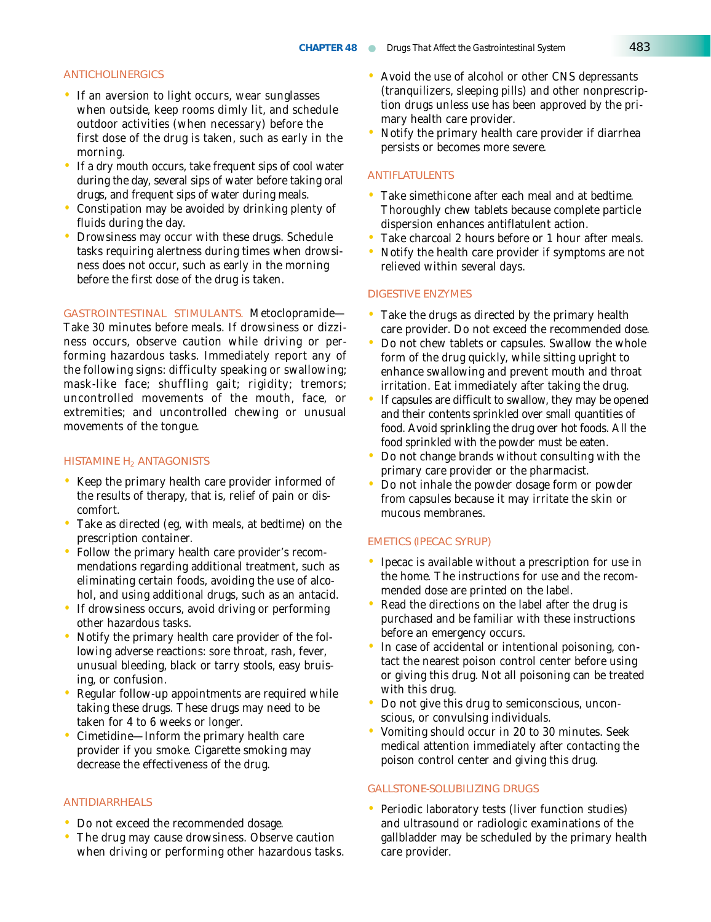#### ANTICHOLINERGICS

- If an aversion to light occurs, wear sunglasses when outside, keep rooms dimly lit, and schedule outdoor activities (when necessary) before the first dose of the drug is taken, such as early in the morning.
- If a dry mouth occurs, take frequent sips of cool water during the day, several sips of water before taking oral drugs, and frequent sips of water during meals.
- Constipation may be avoided by drinking plenty of fluids during the day.
- Drowsiness may occur with these drugs. Schedule tasks requiring alertness during times when drowsiness does not occur, such as early in the morning before the first dose of the drug is taken.

GASTROINTESTINAL STIMULANTS. Metoclopramide— Take 30 minutes before meals. If drowsiness or dizziness occurs, observe caution while driving or performing hazardous tasks. Immediately report any of the following signs: difficulty speaking or swallowing; mask-like face; shuffling gait; rigidity; tremors; uncontrolled movements of the mouth, face, or extremities; and uncontrolled chewing or unusual movements of the tongue.

#### HISTAMINE H<sub>2</sub> ANTAGONISTS

- Keep the primary health care provider informed of the results of therapy, that is, relief of pain or discomfort.
- Take as directed (eg, with meals, at bedtime) on the prescription container.
- Follow the primary health care provider's recommendations regarding additional treatment, such as eliminating certain foods, avoiding the use of alcohol, and using additional drugs, such as an antacid.
- If drowsiness occurs, avoid driving or performing other hazardous tasks.
- Notify the primary health care provider of the following adverse reactions: sore throat, rash, fever, unusual bleeding, black or tarry stools, easy bruising, or confusion.
- Regular follow-up appointments are required while taking these drugs. These drugs may need to be taken for 4 to 6 weeks or longer.
- Cimetidine—Inform the primary health care provider if you smoke. Cigarette smoking may decrease the effectiveness of the drug.

#### ANTIDIARRHEALS

- Do not exceed the recommended dosage.
- The drug may cause drowsiness. Observe caution when driving or performing other hazardous tasks.
- Avoid the use of alcohol or other CNS depressants (tranquilizers, sleeping pills) and other nonprescription drugs unless use has been approved by the primary health care provider.
- Notify the primary health care provider if diarrhea persists or becomes more severe.

#### ANTIFLATULENTS

- Take simethicone after each meal and at bedtime. Thoroughly chew tablets because complete particle dispersion enhances antiflatulent action.
- Take charcoal 2 hours before or 1 hour after meals.
- Notify the health care provider if symptoms are not relieved within several days.

#### DIGESTIVE ENZYMES

- Take the drugs as directed by the primary health care provider. Do not exceed the recommended dose.
- Do not chew tablets or capsules. Swallow the whole form of the drug quickly, while sitting upright to enhance swallowing and prevent mouth and throat irritation. Eat immediately after taking the drug.
- If capsules are difficult to swallow, they may be opened and their contents sprinkled over small quantities of food. Avoid sprinkling the drug over hot foods. All the food sprinkled with the powder must be eaten.
- Do not change brands without consulting with the primary care provider or the pharmacist.
- Do not inhale the powder dosage form or powder from capsules because it may irritate the skin or mucous membranes.

#### EMETICS (IPECAC SYRUP)

- Ipecac is available without a prescription for use in the home. The instructions for use and the recommended dose are printed on the label.
- Read the directions on the label after the drug is purchased and be familiar with these instructions before an emergency occurs.
- In case of accidental or intentional poisoning, contact the nearest poison control center before using or giving this drug. Not all poisoning can be treated with this drug.
- Do not give this drug to semiconscious, unconscious, or convulsing individuals.
- Vomiting should occur in 20 to 30 minutes. Seek medical attention immediately after contacting the poison control center and giving this drug.

#### GALLSTONE-SOLUBILIZING DRUGS

Periodic laboratory tests (liver function studies) and ultrasound or radiologic examinations of the gallbladder may be scheduled by the primary health care provider.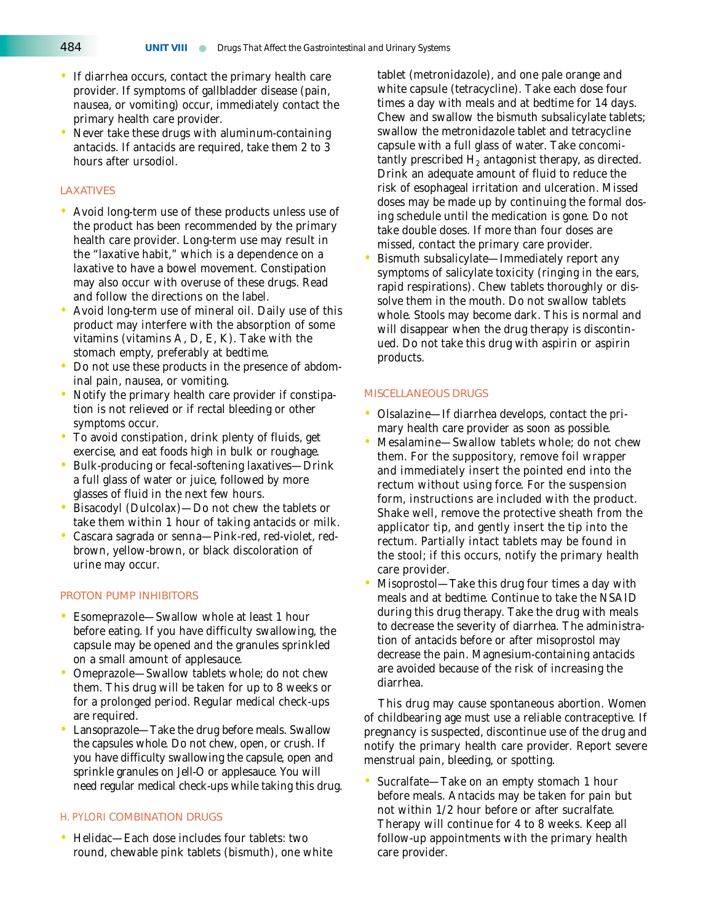- If diarrhea occurs, contact the primary health care provider. If symptoms of gallbladder disease (pain, nausea, or vomiting) occur, immediately contact the primary health care provider.
- Never take these drugs with aluminum-containing antacids. If antacids are required, take them 2 to 3 hours after ursodiol.

#### LAXATIVES

- Avoid long-term use of these products unless use of the product has been recommended by the primary health care provider. Long-term use may result in the "laxative habit," which is a dependence on a laxative to have a bowel movement. Constipation may also occur with overuse of these drugs. Read and follow the directions on the label.
- Avoid long-term use of mineral oil. Daily use of this product may interfere with the absorption of some vitamins (vitamins A, D, E, K). Take with the stomach empty, preferably at bedtime.
- Do not use these products in the presence of abdominal pain, nausea, or vomiting.
- Notify the primary health care provider if constipation is not relieved or if rectal bleeding or other symptoms occur.
- To avoid constipation, drink plenty of fluids, get exercise, and eat foods high in bulk or roughage.
- Bulk-producing or fecal-softening laxatives—Drink a full glass of water or juice, followed by more glasses of fluid in the next few hours.
- Bisacodyl (Dulcolax)—Do not chew the tablets or take them within 1 hour of taking antacids or milk.
- Cascara sagrada or senna—Pink-red, red-violet, redbrown, yellow-brown, or black discoloration of urine may occur.

#### PROTON PUMP INHIBITORS

- Esomeprazole—Swallow whole at least 1 hour before eating. If you have difficulty swallowing, the capsule may be opened and the granules sprinkled on a small amount of applesauce.
- Omeprazole—Swallow tablets whole; do not chew them. This drug will be taken for up to 8 weeks or for a prolonged period. Regular medical check-ups are required.
- Lansoprazole—Take the drug before meals. Swallow the capsules whole. Do not chew, open, or crush. If you have difficulty swallowing the capsule, open and sprinkle granules on Jell-O or applesauce. You will need regular medical check-ups while taking this drug.

#### *H. PYLORI* COMBINATION DRUGS

• Helidac—Each dose includes four tablets: two round, chewable pink tablets (bismuth), one white tablet (metronidazole), and one pale orange and white capsule (tetracycline). Take each dose four times a day with meals and at bedtime for 14 days. Chew and swallow the bismuth subsalicylate tablets; swallow the metronidazole tablet and tetracycline capsule with a full glass of water. Take concomitantly prescribed  $H_2$  antagonist therapy, as directed. Drink an adequate amount of fluid to reduce the risk of esophageal irritation and ulceration. Missed doses may be made up by continuing the formal dosing schedule until the medication is gone. Do not take double doses. If more than four doses are missed, contact the primary care provider.

• Bismuth subsalicylate—Immediately report any symptoms of salicylate toxicity (ringing in the ears, rapid respirations). Chew tablets thoroughly or dissolve them in the mouth. Do not swallow tablets whole. Stools may become dark. This is normal and will disappear when the drug therapy is discontinued. Do not take this drug with aspirin or aspirin products.

#### MISCELLANEOUS DRUGS

- Olsalazine—If diarrhea develops, contact the primary health care provider as soon as possible.
- Mesalamine—Swallow tablets whole; do not chew them. For the suppository, remove foil wrapper and immediately insert the pointed end into the rectum without using force. For the suspension form, instructions are included with the product. Shake well, remove the protective sheath from the applicator tip, and gently insert the tip into the rectum. Partially intact tablets may be found in the stool; if this occurs, notify the primary health care provider.
- Misoprostol—Take this drug four times a day with meals and at bedtime. Continue to take the NSAID during this drug therapy. Take the drug with meals to decrease the severity of diarrhea. The administration of antacids before or after misoprostol may decrease the pain. Magnesium-containing antacids are avoided because of the risk of increasing the diarrhea.

This drug may cause spontaneous abortion. Women of childbearing age must use a reliable contraceptive. If pregnancy is suspected, discontinue use of the drug and notify the primary health care provider. Report severe menstrual pain, bleeding, or spotting.

• Sucralfate—Take on an empty stomach 1 hour before meals. Antacids may be taken for pain but not within 1/2 hour before or after sucralfate. Therapy will continue for 4 to 8 weeks. Keep all follow-up appointments with the primary health care provider.